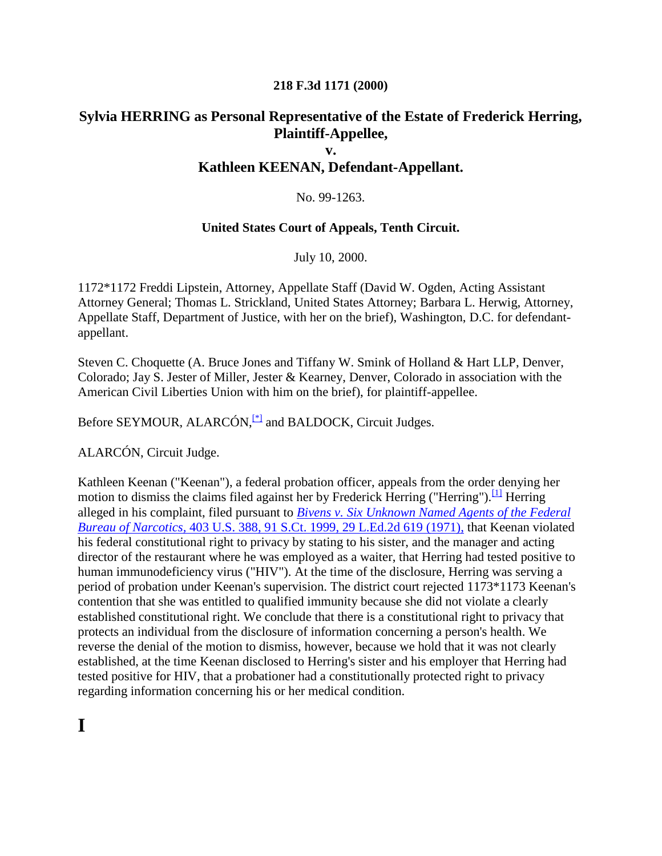#### **218 F.3d 1171 (2000)**

### **Sylvia HERRING as Personal Representative of the Estate of Frederick Herring, Plaintiff-Appellee,**

#### **v.**

### **Kathleen KEENAN, Defendant-Appellant.**

#### No. 99-1263.

#### **United States Court of Appeals, Tenth Circuit.**

July 10, 2000.

1172\*1172 Freddi Lipstein, Attorney, Appellate Staff (David W. Ogden, Acting Assistant Attorney General; Thomas L. Strickland, United States Attorney; Barbara L. Herwig, Attorney, Appellate Staff, Department of Justice, with her on the brief), Washington, D.C. for defendantappellant.

Steven C. Choquette (A. Bruce Jones and Tiffany W. Smink of Holland & Hart LLP, Denver, Colorado; Jay S. Jester of Miller, Jester & Kearney, Denver, Colorado in association with the American Civil Liberties Union with him on the brief), for plaintiff-appellee.

Before SEYMOUR, ALARCÓN,<sup>[\[\\*\]](http://scholar.google.co.in/scholar_case?q=herring+v.+keenan&hl=en&as_sdt=2,5&case=3735631482981241601&scilh=0#[1])</sup> and BALDOCK, Circuit Judges.

ALARCÓN, Circuit Judge.

Kathleen Keenan ("Keenan"), a federal probation officer, appeals from the order denying her motion to dismiss the claims filed against her by Frederick Herring ("Herring").  $\frac{[1]}{[1]}$  $\frac{[1]}{[1]}$  $\frac{[1]}{[1]}$  Herring alleged in his complaint, filed pursuant to *Bivens [v. Six Unknown Named Agents of the Federal](http://scholar.google.co.in/scholar_case?case=4836406244398815814&q=herring+v.+keenan&hl=en&as_sdt=2,5&scilh=0)  Bureau of Narcotics,* [403 U.S. 388, 91 S.Ct. 1999, 29 L.Ed.2d 619 \(1971\),](http://scholar.google.co.in/scholar_case?case=4836406244398815814&q=herring+v.+keenan&hl=en&as_sdt=2,5&scilh=0) that Keenan violated his federal constitutional right to privacy by stating to his sister, and the manager and acting director of the restaurant where he was employed as a waiter, that Herring had tested positive to human immunodeficiency virus ("HIV"). At the time of the disclosure, Herring was serving a period of probation under Keenan's supervision. The district court rejected 1173\*1173 Keenan's contention that she was entitled to qualified immunity because she did not violate a clearly established constitutional right. We conclude that there is a constitutional right to privacy that protects an individual from the disclosure of information concerning a person's health. We reverse the denial of the motion to dismiss, however, because we hold that it was not clearly established, at the time Keenan disclosed to Herring's sister and his employer that Herring had tested positive for HIV, that a probationer had a constitutionally protected right to privacy regarding information concerning his or her medical condition.

# **I**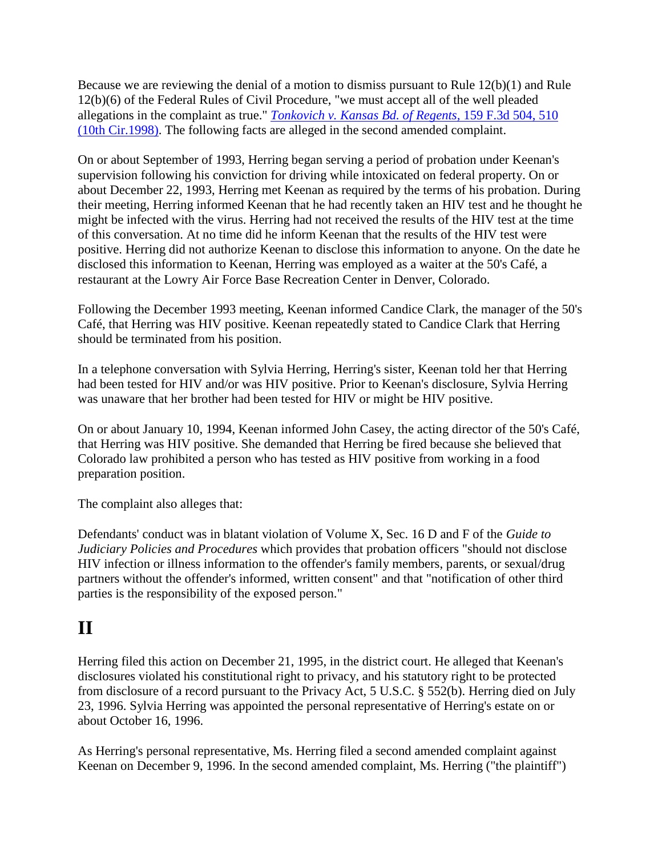Because we are reviewing the denial of a motion to dismiss pursuant to Rule 12(b)(1) and Rule 12(b)(6) of the Federal Rules of Civil Procedure, "we must accept all of the well pleaded allegations in the complaint as true." *[Tonkovich v. Kansas Bd. of Regents,](http://scholar.google.co.in/scholar_case?case=4179912925281291925&q=herring+v.+keenan&hl=en&as_sdt=2,5&scilh=0)* 159 F.3d 504, 510 [\(10th Cir.1998\).](http://scholar.google.co.in/scholar_case?case=4179912925281291925&q=herring+v.+keenan&hl=en&as_sdt=2,5&scilh=0) The following facts are alleged in the second amended complaint.

On or about September of 1993, Herring began serving a period of probation under Keenan's supervision following his conviction for driving while intoxicated on federal property. On or about December 22, 1993, Herring met Keenan as required by the terms of his probation. During their meeting, Herring informed Keenan that he had recently taken an HIV test and he thought he might be infected with the virus. Herring had not received the results of the HIV test at the time of this conversation. At no time did he inform Keenan that the results of the HIV test were positive. Herring did not authorize Keenan to disclose this information to anyone. On the date he disclosed this information to Keenan, Herring was employed as a waiter at the 50's Café, a restaurant at the Lowry Air Force Base Recreation Center in Denver, Colorado.

Following the December 1993 meeting, Keenan informed Candice Clark, the manager of the 50's Café, that Herring was HIV positive. Keenan repeatedly stated to Candice Clark that Herring should be terminated from his position.

In a telephone conversation with Sylvia Herring, Herring's sister, Keenan told her that Herring had been tested for HIV and/or was HIV positive. Prior to Keenan's disclosure, Sylvia Herring was unaware that her brother had been tested for HIV or might be HIV positive.

On or about January 10, 1994, Keenan informed John Casey, the acting director of the 50's Café, that Herring was HIV positive. She demanded that Herring be fired because she believed that Colorado law prohibited a person who has tested as HIV positive from working in a food preparation position.

The complaint also alleges that:

Defendants' conduct was in blatant violation of Volume X, Sec. 16 D and F of the *Guide to Judiciary Policies and Procedures* which provides that probation officers "should not disclose HIV infection or illness information to the offender's family members, parents, or sexual/drug partners without the offender's informed, written consent" and that "notification of other third parties is the responsibility of the exposed person."

# **II**

Herring filed this action on December 21, 1995, in the district court. He alleged that Keenan's disclosures violated his constitutional right to privacy, and his statutory right to be protected from disclosure of a record pursuant to the Privacy Act, 5 U.S.C. § 552(b). Herring died on July 23, 1996. Sylvia Herring was appointed the personal representative of Herring's estate on or about October 16, 1996.

As Herring's personal representative, Ms. Herring filed a second amended complaint against Keenan on December 9, 1996. In the second amended complaint, Ms. Herring ("the plaintiff")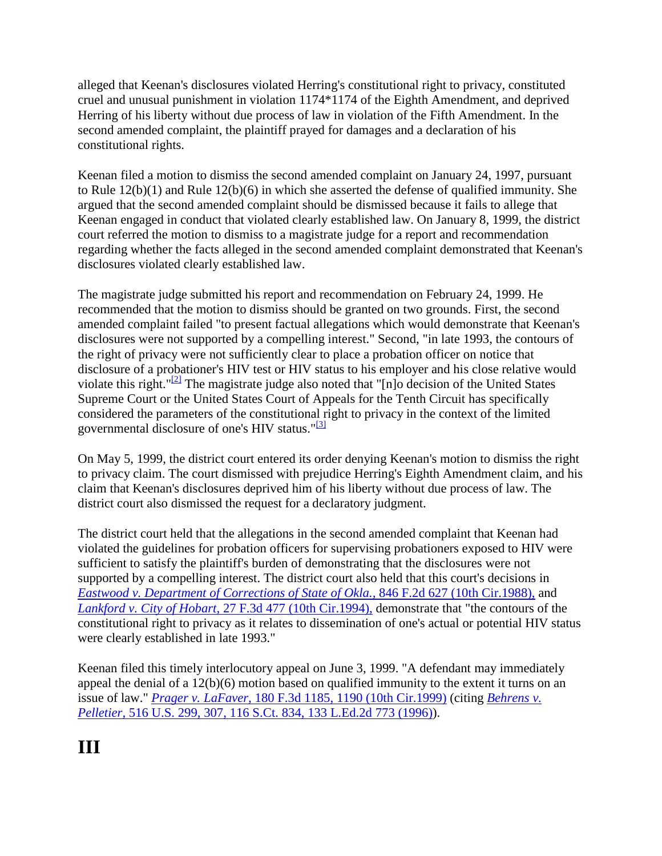alleged that Keenan's disclosures violated Herring's constitutional right to privacy, constituted cruel and unusual punishment in violation 1174\*1174 of the Eighth Amendment, and deprived Herring of his liberty without due process of law in violation of the Fifth Amendment. In the second amended complaint, the plaintiff prayed for damages and a declaration of his constitutional rights.

Keenan filed a motion to dismiss the second amended complaint on January 24, 1997, pursuant to Rule 12(b)(1) and Rule 12(b)(6) in which she asserted the defense of qualified immunity. She argued that the second amended complaint should be dismissed because it fails to allege that Keenan engaged in conduct that violated clearly established law. On January 8, 1999, the district court referred the motion to dismiss to a magistrate judge for a report and recommendation regarding whether the facts alleged in the second amended complaint demonstrated that Keenan's disclosures violated clearly established law.

The magistrate judge submitted his report and recommendation on February 24, 1999. He recommended that the motion to dismiss should be granted on two grounds. First, the second amended complaint failed "to present factual allegations which would demonstrate that Keenan's disclosures were not supported by a compelling interest." Second, "in late 1993, the contours of the right of privacy were not sufficiently clear to place a probation officer on notice that disclosure of a probationer's HIV test or HIV status to his employer and his close relative would violate this right." $\frac{2}{2}$  The magistrate judge also noted that "[n]o decision of the United States Supreme Court or the United States Court of Appeals for the Tenth Circuit has specifically considered the parameters of the constitutional right to privacy in the context of the limited governmental disclosure of one's HIV status."<sup>[\[3\]](http://scholar.google.co.in/scholar_case?q=herring+v.+keenan&hl=en&as_sdt=2,5&case=3735631482981241601&scilh=0#[4])</sup>

On May 5, 1999, the district court entered its order denying Keenan's motion to dismiss the right to privacy claim. The court dismissed with prejudice Herring's Eighth Amendment claim, and his claim that Keenan's disclosures deprived him of his liberty without due process of law. The district court also dismissed the request for a declaratory judgment.

The district court held that the allegations in the second amended complaint that Keenan had violated the guidelines for probation officers for supervising probationers exposed to HIV were sufficient to satisfy the plaintiff's burden of demonstrating that the disclosures were not supported by a compelling interest. The district court also held that this court's decisions in *[Eastwood v. Department of Corrections of State of](http://scholar.google.co.in/scholar_case?case=17892454340012982754&q=herring+v.+keenan&hl=en&as_sdt=2,5&scilh=0) Okla.,* 846 F.2d 627 (10th Cir.1988), and *Lankford v. City of Hobart,* [27 F.3d 477 \(10th Cir.1994\),](http://scholar.google.co.in/scholar_case?case=1512270238611259491&q=herring+v.+keenan&hl=en&as_sdt=2,5&scilh=0) demonstrate that "the contours of the constitutional right to privacy as it relates to dissemination of one's actual or potential HIV status were clearly established in late 1993."

Keenan filed this timely interlocutory appeal on June 3, 1999. "A defendant may immediately appeal the denial of a 12(b)(6) motion based on qualified immunity to the extent it turns on an issue of law." *Prager v. LaFaver,* [180 F.3d 1185, 1190 \(10th Cir.1999\)](http://scholar.google.co.in/scholar_case?case=2947583422676597446&q=herring+v.+keenan&hl=en&as_sdt=2,5&scilh=0) (citing *[Behrens v.](http://scholar.google.co.in/scholar_case?case=1636708184304825174&q=herring+v.+keenan&hl=en&as_sdt=2,5&scilh=0)  Pelletier,* [516 U.S. 299, 307, 116 S.Ct. 834, 133 L.Ed.2d](http://scholar.google.co.in/scholar_case?case=1636708184304825174&q=herring+v.+keenan&hl=en&as_sdt=2,5&scilh=0) 773 (1996)).

# **III**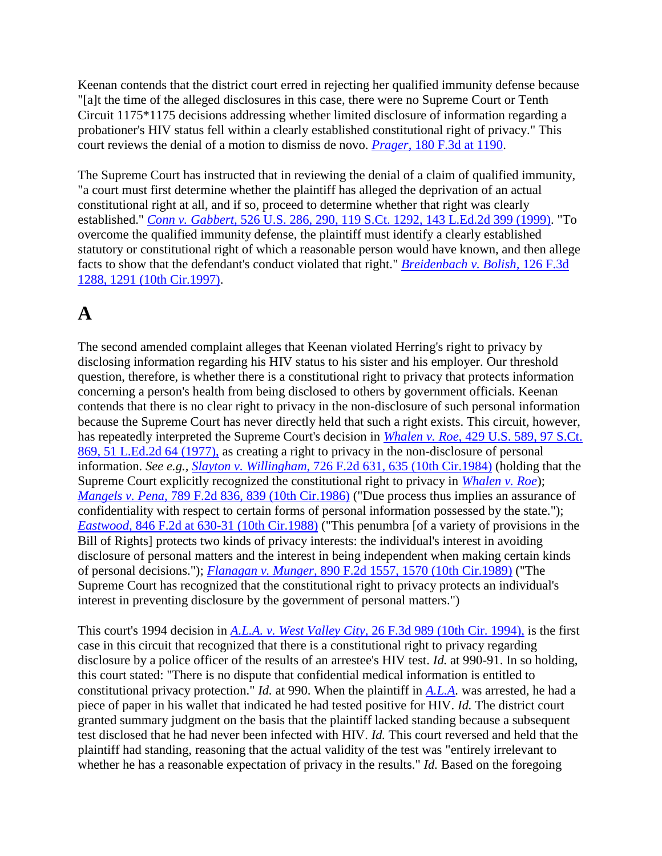Keenan contends that the district court erred in rejecting her qualified immunity defense because "[a]t the time of the alleged disclosures in this case, there were no Supreme Court or Tenth Circuit 1175\*1175 decisions addressing whether limited disclosure of information regarding a probationer's HIV status fell within a clearly established constitutional right of privacy." This court reviews the denial of a motion to dismiss de novo. *Prager,* [180 F.3d at 1190.](http://scholar.google.co.in/scholar_case?case=2947583422676597446&q=herring+v.+keenan&hl=en&as_sdt=2,5&scilh=0)

The Supreme Court has instructed that in reviewing the denial of a claim of qualified immunity, "a court must first determine whether the plaintiff has alleged the deprivation of an actual constitutional right at all, and if so, proceed to determine whether that right was clearly established." *Conn v. Gabbert,* [526 U.S. 286, 290, 119 S.Ct. 1292, 143 L.Ed.2d 399 \(1999\).](http://scholar.google.co.in/scholar_case?case=2163271342134280262&q=herring+v.+keenan&hl=en&as_sdt=2,5&scilh=0) "To overcome the qualified immunity defense, the plaintiff must identify a clearly established statutory or constitutional right of which a reasonable person would have known, and then allege facts to show that the defendant's conduct violated that right." *[Breidenbach v. Bolish,](http://scholar.google.co.in/scholar_case?case=12623045342982916422&q=herring+v.+keenan&hl=en&as_sdt=2,5&scilh=0)* 126 F.3d [1288, 1291 \(10th Cir.1997\).](http://scholar.google.co.in/scholar_case?case=12623045342982916422&q=herring+v.+keenan&hl=en&as_sdt=2,5&scilh=0)

# **A**

The second amended complaint alleges that Keenan violated Herring's right to privacy by disclosing information regarding his HIV status to his sister and his employer. Our threshold question, therefore, is whether there is a constitutional right to privacy that protects information concerning a person's health from being disclosed to others by government officials. Keenan contends that there is no clear right to privacy in the non-disclosure of such personal information because the Supreme Court has never directly held that such a right exists. This circuit, however, has repeatedly interpreted the Supreme Court's decision in *Whalen v. Roe,* [429 U.S. 589, 97 S.Ct.](http://scholar.google.co.in/scholar_case?case=8555735987895894452&q=herring+v.+keenan&hl=en&as_sdt=2,5&scilh=0)  [869, 51 L.Ed.2d 64 \(1977\),](http://scholar.google.co.in/scholar_case?case=8555735987895894452&q=herring+v.+keenan&hl=en&as_sdt=2,5&scilh=0) as creating a right to privacy in the non-disclosure of personal information. *See e.g., Slayton v. Willingham,* [726 F.2d 631, 635 \(10th Cir.1984\)](http://scholar.google.co.in/scholar_case?case=9366262017111051408&q=herring+v.+keenan&hl=en&as_sdt=2,5&scilh=0) (holding that the Supreme Court explicitly recognized the constitutional right to privacy in *[Whalen v. Roe](http://scholar.google.co.in/scholar_case?case=8555735987895894452&q=herring+v.+keenan&hl=en&as_sdt=2,5&scilh=0)*); *Mangels v. Pena,* [789 F.2d 836, 839 \(10th Cir.1986\)](http://scholar.google.co.in/scholar_case?case=17411825162557729150&q=herring+v.+keenan&hl=en&as_sdt=2,5&scilh=0) ("Due process thus implies an assurance of confidentiality with respect to certain forms of personal information possessed by the state."); *Eastwood,* [846 F.2d at 630-31 \(10th Cir.1988\)](http://scholar.google.co.in/scholar_case?case=17892454340012982754&q=herring+v.+keenan&hl=en&as_sdt=2,5&scilh=0) ("This penumbra [of a variety of provisions in the Bill of Rights] protects two kinds of privacy interests: the individual's interest in avoiding disclosure of personal matters and the interest in being independent when making certain kinds of personal decisions."); *Flanagan v. Munger,* [890 F.2d 1557, 1570 \(10th Cir.1989\)](http://scholar.google.co.in/scholar_case?case=6811235589687530812&q=herring+v.+keenan&hl=en&as_sdt=2,5&scilh=0) ("The Supreme Court has recognized that the constitutional right to privacy protects an individual's interest in preventing disclosure by the government of personal matters.")

This court's 1994 decision in *A.L.A. v. West Valley City,* [26 F.3d 989 \(10th Cir. 1994\),](http://scholar.google.co.in/scholar_case?case=3274201201416321623&q=herring+v.+keenan&hl=en&as_sdt=2,5&scilh=0) is the first case in this circuit that recognized that there is a constitutional right to privacy regarding disclosure by a police officer of the results of an arrestee's HIV test. *Id.* at 990-91. In so holding, this court stated: "There is no dispute that confidential medical information is entitled to constitutional privacy protection." *Id.* at 990. When the plaintiff in *[A.L.A.](http://scholar.google.co.in/scholar_case?case=3274201201416321623&q=herring+v.+keenan&hl=en&as_sdt=2,5&scilh=0)* was arrested, he had a piece of paper in his wallet that indicated he had tested positive for HIV. *Id.* The district court granted summary judgment on the basis that the plaintiff lacked standing because a subsequent test disclosed that he had never been infected with HIV. *Id.* This court reversed and held that the plaintiff had standing, reasoning that the actual validity of the test was "entirely irrelevant to whether he has a reasonable expectation of privacy in the results." *Id.* Based on the foregoing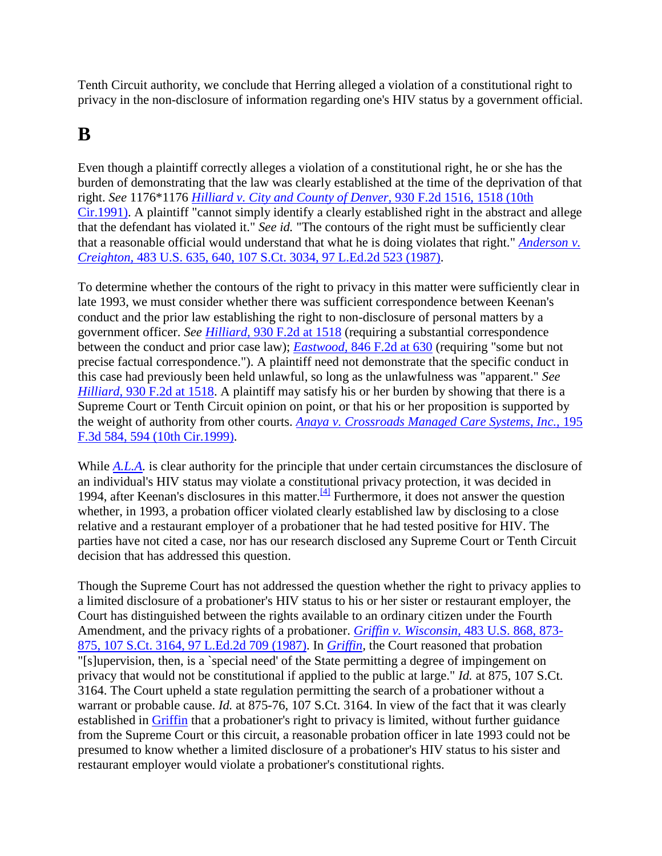Tenth Circuit authority, we conclude that Herring alleged a violation of a constitutional right to privacy in the non-disclosure of information regarding one's HIV status by a government official.

### **B**

Even though a plaintiff correctly alleges a violation of a constitutional right, he or she has the burden of demonstrating that the law was clearly established at the time of the deprivation of that right. *See* 1176\*1176 *[Hilliard v. City and County of Denver,](http://scholar.google.co.in/scholar_case?case=264119852208344187&q=herring+v.+keenan&hl=en&as_sdt=2,5&scilh=0)* 930 F.2d 1516, 1518 (10th [Cir.1991\).](http://scholar.google.co.in/scholar_case?case=264119852208344187&q=herring+v.+keenan&hl=en&as_sdt=2,5&scilh=0) A plaintiff "cannot simply identify a clearly established right in the abstract and allege that the defendant has violated it." *See id.* "The contours of the right must be sufficiently clear that a reasonable official would understand that what he is doing violates that right." *[Anderson v.](http://scholar.google.co.in/scholar_case?case=12881500287411882090&q=herring+v.+keenan&hl=en&as_sdt=2,5&scilh=0)  Creighton,* [483 U.S. 635, 640, 107 S.Ct. 3034, 97 L.Ed.2d 523 \(1987\).](http://scholar.google.co.in/scholar_case?case=12881500287411882090&q=herring+v.+keenan&hl=en&as_sdt=2,5&scilh=0)

To determine whether the contours of the right to privacy in this matter were sufficiently clear in late 1993, we must consider whether there was sufficient correspondence between Keenan's conduct and the prior law establishing the right to non-disclosure of personal matters by a government officer. *See Hilliard,* [930 F.2d at 1518](http://scholar.google.co.in/scholar_case?case=264119852208344187&q=herring+v.+keenan&hl=en&as_sdt=2,5&scilh=0) (requiring a substantial correspondence between the conduct and prior case law); *Eastwood,* [846 F.2d at 630](http://scholar.google.co.in/scholar_case?case=17892454340012982754&q=herring+v.+keenan&hl=en&as_sdt=2,5&scilh=0) (requiring "some but not precise factual correspondence."). A plaintiff need not demonstrate that the specific conduct in this case had previously been held unlawful, so long as the unlawfulness was "apparent." *See Hilliard,* [930 F.2d at 1518.](http://scholar.google.co.in/scholar_case?case=264119852208344187&q=herring+v.+keenan&hl=en&as_sdt=2,5&scilh=0) A plaintiff may satisfy his or her burden by showing that there is a Supreme Court or Tenth Circuit opinion on point, or that his or her proposition is supported by the weight of authority from other courts. *[Anaya v. Crossroads Managed Care Systems, Inc.,](http://scholar.google.co.in/scholar_case?case=1959916054295212807&q=herring+v.+keenan&hl=en&as_sdt=2,5&scilh=0)* 195 [F.3d 584, 594 \(10th Cir.1999\).](http://scholar.google.co.in/scholar_case?case=1959916054295212807&q=herring+v.+keenan&hl=en&as_sdt=2,5&scilh=0)

While *[A.L.A.](http://scholar.google.co.in/scholar_case?case=3274201201416321623&q=herring+v.+keenan&hl=en&as_sdt=2,5&scilh=0)* is clear authority for the principle that under certain circumstances the disclosure of an individual's HIV status may violate a constitutional privacy protection, it was decided in 1994, after Keenan's disclosures in this matter.<sup>[\[4\]](http://scholar.google.co.in/scholar_case?q=herring+v.+keenan&hl=en&as_sdt=2,5&case=3735631482981241601&scilh=0#[5])</sup> Furthermore, it does not answer the question whether, in 1993, a probation officer violated clearly established law by disclosing to a close relative and a restaurant employer of a probationer that he had tested positive for HIV. The parties have not cited a case, nor has our research disclosed any Supreme Court or Tenth Circuit decision that has addressed this question.

Though the Supreme Court has not addressed the question whether the right to privacy applies to a limited disclosure of a probationer's HIV status to his or her sister or restaurant employer, the Court has distinguished between the rights available to an ordinary citizen under the Fourth Amendment, and the privacy rights of a probationer. *[Griffin v. Wisconsin,](http://scholar.google.co.in/scholar_case?case=5005625212347594167&q=herring+v.+keenan&hl=en&as_sdt=2,5&scilh=0)* 483 U.S. 868, 873- [875, 107 S.Ct. 3164, 97 L.Ed.2d 709 \(1987\).](http://scholar.google.co.in/scholar_case?case=5005625212347594167&q=herring+v.+keenan&hl=en&as_sdt=2,5&scilh=0) In *[Griffin,](http://scholar.google.co.in/scholar_case?case=5005625212347594167&q=herring+v.+keenan&hl=en&as_sdt=2,5&scilh=0)* the Court reasoned that probation "[s]upervision, then, is a `special need' of the State permitting a degree of impingement on privacy that would not be constitutional if applied to the public at large." *Id.* at 875, 107 S.Ct. 3164. The Court upheld a state regulation permitting the search of a probationer without a warrant or probable cause. *Id.* at 875-76, 107 S.Ct. 3164. In view of the fact that it was clearly established in [Griffin](http://scholar.google.co.in/scholar_case?case=5005625212347594167&q=herring+v.+keenan&hl=en&as_sdt=2,5&scilh=0) that a probationer's right to privacy is limited, without further guidance from the Supreme Court or this circuit, a reasonable probation officer in late 1993 could not be presumed to know whether a limited disclosure of a probationer's HIV status to his sister and restaurant employer would violate a probationer's constitutional rights.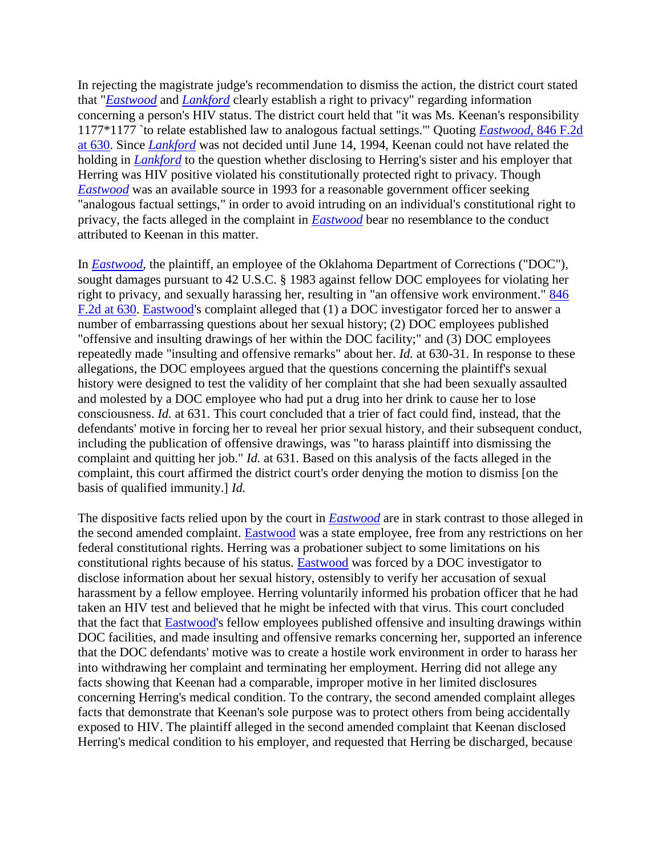In rejecting the magistrate judge's recommendation to dismiss the action, the district court stated that "*[Eastwood](http://scholar.google.co.in/scholar_case?case=17892454340012982754&q=herring+v.+keenan&hl=en&as_sdt=2,5&scilh=0)* and *[Lankford](http://scholar.google.co.in/scholar_case?case=1512270238611259491&q=herring+v.+keenan&hl=en&as_sdt=2,5&scilh=0)* clearly establish a right to privacy" regarding information concerning a person's HIV status. The district court held that "it was Ms. Keenan's responsibility 1177\*1177 `to relate established law to analogous factual settings.'" Quoting *[Eastwood,](http://scholar.google.co.in/scholar_case?case=17892454340012982754&q=herring+v.+keenan&hl=en&as_sdt=2,5&scilh=0)* 846 F.2d [at 630.](http://scholar.google.co.in/scholar_case?case=17892454340012982754&q=herring+v.+keenan&hl=en&as_sdt=2,5&scilh=0) Since *[Lankford](http://scholar.google.co.in/scholar_case?case=1512270238611259491&q=herring+v.+keenan&hl=en&as_sdt=2,5&scilh=0)* was not decided until June 14, 1994, Keenan could not have related the holding in *[Lankford](http://scholar.google.co.in/scholar_case?case=1512270238611259491&q=herring+v.+keenan&hl=en&as_sdt=2,5&scilh=0)* to the question whether disclosing to Herring's sister and his employer that Herring was HIV positive violated his constitutionally protected right to privacy. Though *[Eastwood](http://scholar.google.co.in/scholar_case?case=17892454340012982754&q=herring+v.+keenan&hl=en&as_sdt=2,5&scilh=0)* was an available source in 1993 for a reasonable government officer seeking "analogous factual settings," in order to avoid intruding on an individual's constitutional right to privacy, the facts alleged in the complaint in *[Eastwood](http://scholar.google.co.in/scholar_case?case=17892454340012982754&q=herring+v.+keenan&hl=en&as_sdt=2,5&scilh=0)* bear no resemblance to the conduct attributed to Keenan in this matter.

In *[Eastwood,](http://scholar.google.co.in/scholar_case?case=17892454340012982754&q=herring+v.+keenan&hl=en&as_sdt=2,5&scilh=0)* the plaintiff, an employee of the Oklahoma Department of Corrections ("DOC"), sought damages pursuant to 42 U.S.C. § 1983 against fellow DOC employees for violating her right to privacy, and sexually harassing her, resulting in "an offensive work environment." [846](http://scholar.google.co.in/scholar_case?case=17892454340012982754&q=herring+v.+keenan&hl=en&as_sdt=2,5&scilh=0)  [F.2d at 630. Eastwood's](http://scholar.google.co.in/scholar_case?case=17892454340012982754&q=herring+v.+keenan&hl=en&as_sdt=2,5&scilh=0) complaint alleged that (1) a DOC investigator forced her to answer a number of embarrassing questions about her sexual history; (2) DOC employees published "offensive and insulting drawings of her within the DOC facility;" and (3) DOC employees repeatedly made "insulting and offensive remarks" about her. *Id.* at 630-31. In response to these allegations, the DOC employees argued that the questions concerning the plaintiff's sexual history were designed to test the validity of her complaint that she had been sexually assaulted and molested by a DOC employee who had put a drug into her drink to cause her to lose consciousness. *Id.* at 631. This court concluded that a trier of fact could find, instead, that the defendants' motive in forcing her to reveal her prior sexual history, and their subsequent conduct, including the publication of offensive drawings, was "to harass plaintiff into dismissing the complaint and quitting her job." *Id.* at 631. Based on this analysis of the facts alleged in the complaint, this court affirmed the district court's order denying the motion to dismiss [on the basis of qualified immunity.] *Id.*

The dispositive facts relied upon by the court in *[Eastwood](http://scholar.google.co.in/scholar_case?case=17892454340012982754&q=herring+v.+keenan&hl=en&as_sdt=2,5&scilh=0)* are in stark contrast to those alleged in the second amended complaint. [Eastwood](http://scholar.google.co.in/scholar_case?case=17892454340012982754&q=herring+v.+keenan&hl=en&as_sdt=2,5&scilh=0) was a state employee, free from any restrictions on her federal constitutional rights. Herring was a probationer subject to some limitations on his constitutional rights because of his status. [Eastwood](http://scholar.google.co.in/scholar_case?case=17892454340012982754&q=herring+v.+keenan&hl=en&as_sdt=2,5&scilh=0) was forced by a DOC investigator to disclose information about her sexual history, ostensibly to verify her accusation of sexual harassment by a fellow employee. Herring voluntarily informed his probation officer that he had taken an HIV test and believed that he might be infected with that virus. This court concluded that the fact that [Eastwood'](http://scholar.google.co.in/scholar_case?case=17892454340012982754&q=herring+v.+keenan&hl=en&as_sdt=2,5&scilh=0)s fellow employees published offensive and insulting drawings within DOC facilities, and made insulting and offensive remarks concerning her, supported an inference that the DOC defendants' motive was to create a hostile work environment in order to harass her into withdrawing her complaint and terminating her employment. Herring did not allege any facts showing that Keenan had a comparable, improper motive in her limited disclosures concerning Herring's medical condition. To the contrary, the second amended complaint alleges facts that demonstrate that Keenan's sole purpose was to protect others from being accidentally exposed to HIV. The plaintiff alleged in the second amended complaint that Keenan disclosed Herring's medical condition to his employer, and requested that Herring be discharged, because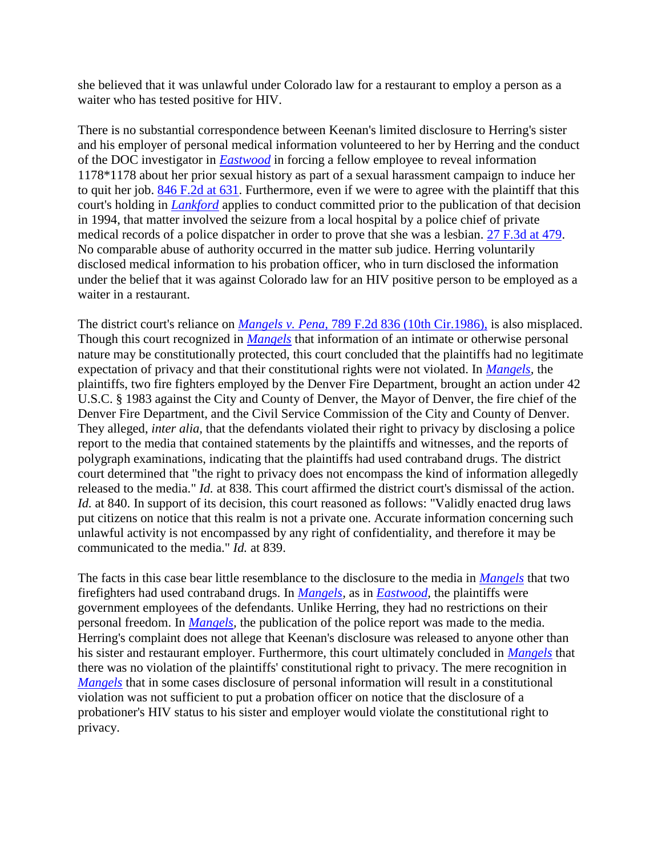she believed that it was unlawful under Colorado law for a restaurant to employ a person as a waiter who has tested positive for HIV.

There is no substantial correspondence between Keenan's limited disclosure to Herring's sister and his employer of personal medical information volunteered to her by Herring and the conduct of the DOC investigator in *[Eastwood](http://scholar.google.co.in/scholar_case?case=17892454340012982754&q=herring+v.+keenan&hl=en&as_sdt=2,5&scilh=0)* in forcing a fellow employee to reveal information 1178\*1178 about her prior sexual history as part of a sexual harassment campaign to induce her to quit her job. [846 F.2d at 631.](http://scholar.google.co.in/scholar_case?case=17892454340012982754&q=herring+v.+keenan&hl=en&as_sdt=2,5&scilh=0) Furthermore, even if we were to agree with the plaintiff that this court's holding in *[Lankford](http://scholar.google.co.in/scholar_case?case=1512270238611259491&q=herring+v.+keenan&hl=en&as_sdt=2,5&scilh=0)* applies to conduct committed prior to the publication of that decision in 1994, that matter involved the seizure from a local hospital by a police chief of private medical records of a police dispatcher in order to prove that she was a lesbian. [27 F.3d at 479.](http://scholar.google.co.in/scholar_case?case=1512270238611259491&q=herring+v.+keenan&hl=en&as_sdt=2,5&scilh=0) No comparable abuse of authority occurred in the matter sub judice. Herring voluntarily disclosed medical information to his probation officer, who in turn disclosed the information under the belief that it was against Colorado law for an HIV positive person to be employed as a waiter in a restaurant.

The district court's reliance on *Mangels v. Pena,* [789 F.2d 836 \(10th Cir.1986\),](http://scholar.google.co.in/scholar_case?case=17411825162557729150&q=herring+v.+keenan&hl=en&as_sdt=2,5&scilh=0) is also misplaced. Though this court recognized in *[Mangels](http://scholar.google.co.in/scholar_case?case=17411825162557729150&q=herring+v.+keenan&hl=en&as_sdt=2,5&scilh=0)* that information of an intimate or otherwise personal nature may be constitutionally protected, this court concluded that the plaintiffs had no legitimate expectation of privacy and that their constitutional rights were not violated. In *[Mangels,](http://scholar.google.co.in/scholar_case?case=17411825162557729150&q=herring+v.+keenan&hl=en&as_sdt=2,5&scilh=0)* the plaintiffs, two fire fighters employed by the Denver Fire Department, brought an action under 42 U.S.C. § 1983 against the City and County of Denver, the Mayor of Denver, the fire chief of the Denver Fire Department, and the Civil Service Commission of the City and County of Denver. They alleged, *inter alia,* that the defendants violated their right to privacy by disclosing a police report to the media that contained statements by the plaintiffs and witnesses, and the reports of polygraph examinations, indicating that the plaintiffs had used contraband drugs. The district court determined that "the right to privacy does not encompass the kind of information allegedly released to the media." *Id.* at 838. This court affirmed the district court's dismissal of the action. *Id.* at 840. In support of its decision, this court reasoned as follows: "Validly enacted drug laws put citizens on notice that this realm is not a private one. Accurate information concerning such unlawful activity is not encompassed by any right of confidentiality, and therefore it may be communicated to the media." *Id.* at 839.

The facts in this case bear little resemblance to the disclosure to the media in *[Mangels](http://scholar.google.co.in/scholar_case?case=17411825162557729150&q=herring+v.+keenan&hl=en&as_sdt=2,5&scilh=0)* that two firefighters had used contraband drugs. In *[Mangels,](http://scholar.google.co.in/scholar_case?case=17411825162557729150&q=herring+v.+keenan&hl=en&as_sdt=2,5&scilh=0)* as in *[Eastwood,](http://scholar.google.co.in/scholar_case?case=17892454340012982754&q=herring+v.+keenan&hl=en&as_sdt=2,5&scilh=0)* the plaintiffs were government employees of the defendants. Unlike Herring, they had no restrictions on their personal freedom. In *[Mangels,](http://scholar.google.co.in/scholar_case?case=17411825162557729150&q=herring+v.+keenan&hl=en&as_sdt=2,5&scilh=0)* the publication of the police report was made to the media. Herring's complaint does not allege that Keenan's disclosure was released to anyone other than his sister and restaurant employer. Furthermore, this court ultimately concluded in *[Mangels](http://scholar.google.co.in/scholar_case?case=17411825162557729150&q=herring+v.+keenan&hl=en&as_sdt=2,5&scilh=0)* that there was no violation of the plaintiffs' constitutional right to privacy. The mere recognition in *[Mangels](http://scholar.google.co.in/scholar_case?case=17411825162557729150&q=herring+v.+keenan&hl=en&as_sdt=2,5&scilh=0)* that in some cases disclosure of personal information will result in a constitutional violation was not sufficient to put a probation officer on notice that the disclosure of a probationer's HIV status to his sister and employer would violate the constitutional right to privacy.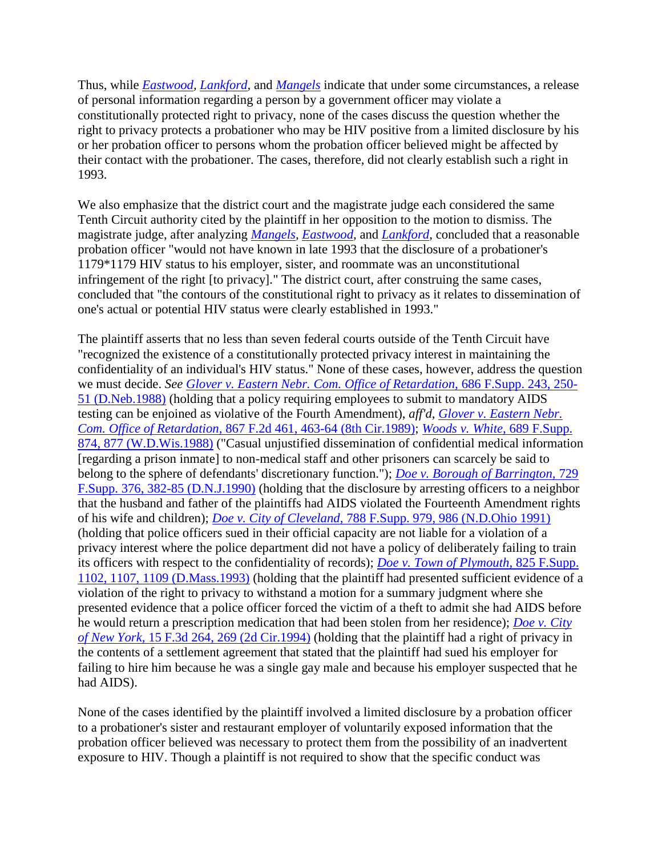Thus, while *[Eastwood,](http://scholar.google.co.in/scholar_case?case=17892454340012982754&q=herring+v.+keenan&hl=en&as_sdt=2,5&scilh=0) [Lankford,](http://scholar.google.co.in/scholar_case?case=1512270238611259491&q=herring+v.+keenan&hl=en&as_sdt=2,5&scilh=0)* and *[Mangels](http://scholar.google.co.in/scholar_case?case=17411825162557729150&q=herring+v.+keenan&hl=en&as_sdt=2,5&scilh=0)* indicate that under some circumstances, a release of personal information regarding a person by a government officer may violate a constitutionally protected right to privacy, none of the cases discuss the question whether the right to privacy protects a probationer who may be HIV positive from a limited disclosure by his or her probation officer to persons whom the probation officer believed might be affected by their contact with the probationer. The cases, therefore, did not clearly establish such a right in 1993.

We also emphasize that the district court and the magistrate judge each considered the same Tenth Circuit authority cited by the plaintiff in her opposition to the motion to dismiss. The magistrate judge, after analyzing *[Mangels,](http://scholar.google.co.in/scholar_case?case=17411825162557729150&q=herring+v.+keenan&hl=en&as_sdt=2,5&scilh=0) [Eastwood,](http://scholar.google.co.in/scholar_case?case=17892454340012982754&q=herring+v.+keenan&hl=en&as_sdt=2,5&scilh=0)* and *[Lankford,](http://scholar.google.co.in/scholar_case?case=1512270238611259491&q=herring+v.+keenan&hl=en&as_sdt=2,5&scilh=0)* concluded that a reasonable probation officer "would not have known in late 1993 that the disclosure of a probationer's 1179\*1179 HIV status to his employer, sister, and roommate was an unconstitutional infringement of the right [to privacy]." The district court, after construing the same cases, concluded that "the contours of the constitutional right to privacy as it relates to dissemination of one's actual or potential HIV status were clearly established in 1993."

The plaintiff asserts that no less than seven federal courts outside of the Tenth Circuit have "recognized the existence of a constitutionally protected privacy interest in maintaining the confidentiality of an individual's HIV status." None of these cases, however, address the question we must decide. *See [Glover v. Eastern Nebr. Com. Office of Retardation,](http://scholar.google.co.in/scholar_case?case=3251968231372799278&q=herring+v.+keenan&hl=en&as_sdt=2,5&scilh=0)* 686 F.Supp. 243, 250- [51 \(D.Neb.1988\)](http://scholar.google.co.in/scholar_case?case=3251968231372799278&q=herring+v.+keenan&hl=en&as_sdt=2,5&scilh=0) (holding that a policy requiring employees to submit to mandatory AIDS testing can be enjoined as violative of the Fourth Amendment), *aff'd, [Glover v. Eastern Nebr.](http://scholar.google.co.in/scholar_case?case=10517348820173403862&q=herring+v.+keenan&hl=en&as_sdt=2,5&scilh=0)  Com. Office of Retardation,* [867 F.2d 461, 463-64 \(8th Cir.1989\);](http://scholar.google.co.in/scholar_case?case=10517348820173403862&q=herring+v.+keenan&hl=en&as_sdt=2,5&scilh=0) *[Woods v. White,](http://scholar.google.co.in/scholar_case?case=8038232282848115101&q=herring+v.+keenan&hl=en&as_sdt=2,5&scilh=0)* 689 F.Supp. [874, 877 \(W.D.Wis.1988\)](http://scholar.google.co.in/scholar_case?case=8038232282848115101&q=herring+v.+keenan&hl=en&as_sdt=2,5&scilh=0) ("Casual unjustified dissemination of confidential medical information [regarding a prison inmate] to non-medical staff and other prisoners can scarcely be said to belong to the sphere of defendants' discretionary function."); *[Doe v. Borough of Barrington,](http://scholar.google.co.in/scholar_case?case=13274421745578532613&q=herring+v.+keenan&hl=en&as_sdt=2,5&scilh=0)* 729 [F.Supp. 376, 382-85 \(D.N.J.1990\)](http://scholar.google.co.in/scholar_case?case=13274421745578532613&q=herring+v.+keenan&hl=en&as_sdt=2,5&scilh=0) (holding that the disclosure by arresting officers to a neighbor that the husband and father of the plaintiffs had AIDS violated the Fourteenth Amendment rights of his wife and children); *Doe v. City of Cleveland,* [788 F.Supp. 979, 986 \(N.D.Ohio 1991\)](http://scholar.google.co.in/scholar_case?case=10910394617674397676&q=herring+v.+keenan&hl=en&as_sdt=2,5&scilh=0) (holding that police officers sued in their official capacity are not liable for a violation of a privacy interest where the police department did not have a policy of deliberately failing to train its officers with respect to the confidentiality of records); *[Doe v. Town of Plymouth,](http://scholar.google.co.in/scholar_case?case=3211675929379131424&q=herring+v.+keenan&hl=en&as_sdt=2,5&scilh=0)* 825 F.Supp. [1102, 1107, 1109 \(D.Mass.1993\)](http://scholar.google.co.in/scholar_case?case=3211675929379131424&q=herring+v.+keenan&hl=en&as_sdt=2,5&scilh=0) (holding that the plaintiff had presented sufficient evidence of a violation of the right to privacy to withstand a motion for a summary judgment where she presented evidence that a police officer forced the victim of a theft to admit she had AIDS before he would return a prescription medication that had been stolen from her residence); *[Doe v. City](http://scholar.google.co.in/scholar_case?case=6515531860514673129&q=herring+v.+keenan&hl=en&as_sdt=2,5&scilh=0)  of New York,* [15 F.3d 264, 269 \(2d Cir.1994\)](http://scholar.google.co.in/scholar_case?case=6515531860514673129&q=herring+v.+keenan&hl=en&as_sdt=2,5&scilh=0) (holding that the plaintiff had a right of privacy in the contents of a settlement agreement that stated that the plaintiff had sued his employer for failing to hire him because he was a single gay male and because his employer suspected that he had AIDS).

None of the cases identified by the plaintiff involved a limited disclosure by a probation officer to a probationer's sister and restaurant employer of voluntarily exposed information that the probation officer believed was necessary to protect them from the possibility of an inadvertent exposure to HIV. Though a plaintiff is not required to show that the specific conduct was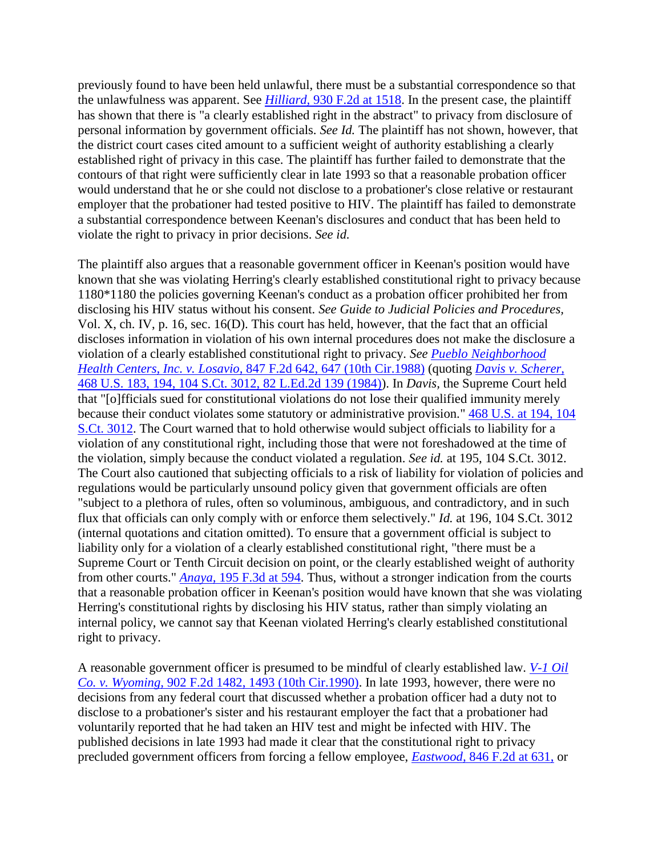previously found to have been held unlawful, there must be a substantial correspondence so that the unlawfulness was apparent. See *Hilliard,* [930 F.2d at 1518.](http://scholar.google.co.in/scholar_case?case=264119852208344187&q=herring+v.+keenan&hl=en&as_sdt=2,5&scilh=0) In the present case, the plaintiff has shown that there is "a clearly established right in the abstract" to privacy from disclosure of personal information by government officials. *See Id.* The plaintiff has not shown, however, that the district court cases cited amount to a sufficient weight of authority establishing a clearly established right of privacy in this case. The plaintiff has further failed to demonstrate that the contours of that right were sufficiently clear in late 1993 so that a reasonable probation officer would understand that he or she could not disclose to a probationer's close relative or restaurant employer that the probationer had tested positive to HIV. The plaintiff has failed to demonstrate a substantial correspondence between Keenan's disclosures and conduct that has been held to violate the right to privacy in prior decisions. *See id.*

The plaintiff also argues that a reasonable government officer in Keenan's position would have known that she was violating Herring's clearly established constitutional right to privacy because 1180\*1180 the policies governing Keenan's conduct as a probation officer prohibited her from disclosing his HIV status without his consent. *See Guide to Judicial Policies and Procedures,* Vol. X, ch. IV, p. 16, sec. 16(D). This court has held, however, that the fact that an official discloses information in violation of his own internal procedures does not make the disclosure a violation of a clearly established constitutional right to privacy. *See [Pueblo Neighborhood](http://scholar.google.co.in/scholar_case?case=11900033915888744903&q=herring+v.+keenan&hl=en&as_sdt=2,5&scilh=0)  Health Centers, Inc. v. Losavio,* [847 F.2d 642, 647 \(10th Cir.1988\)](http://scholar.google.co.in/scholar_case?case=11900033915888744903&q=herring+v.+keenan&hl=en&as_sdt=2,5&scilh=0) (quoting *[Davis v. Scherer,](http://scholar.google.co.in/scholar_case?case=10141076580089723087&q=herring+v.+keenan&hl=en&as_sdt=2,5&scilh=0)* [468 U.S. 183, 194, 104 S.Ct. 3012, 82 L.Ed.2d 139 \(1984\)\)](http://scholar.google.co.in/scholar_case?case=10141076580089723087&q=herring+v.+keenan&hl=en&as_sdt=2,5&scilh=0). In *Davis,* the Supreme Court held that "[o]fficials sued for constitutional violations do not lose their qualified immunity merely because their conduct violates some statutory or administrative provision." [468 U.S. at 194, 104](http://scholar.google.co.in/scholar_case?case=10141076580089723087&q=herring+v.+keenan&hl=en&as_sdt=2,5&scilh=0)  [S.Ct. 3012.](http://scholar.google.co.in/scholar_case?case=10141076580089723087&q=herring+v.+keenan&hl=en&as_sdt=2,5&scilh=0) The Court warned that to hold otherwise would subject officials to liability for a violation of any constitutional right, including those that were not foreshadowed at the time of the violation, simply because the conduct violated a regulation. *See id.* at 195, 104 S.Ct. 3012. The Court also cautioned that subjecting officials to a risk of liability for violation of policies and regulations would be particularly unsound policy given that government officials are often "subject to a plethora of rules, often so voluminous, ambiguous, and contradictory, and in such flux that officials can only comply with or enforce them selectively." *Id.* at 196, 104 S.Ct. 3012 (internal quotations and citation omitted). To ensure that a government official is subject to liability only for a violation of a clearly established constitutional right, "there must be a Supreme Court or Tenth Circuit decision on point, or the clearly established weight of authority from other courts." *Anaya,* [195 F.3d at 594.](http://scholar.google.co.in/scholar_case?case=1959916054295212807&q=herring+v.+keenan&hl=en&as_sdt=2,5&scilh=0) Thus, without a stronger indication from the courts that a reasonable probation officer in Keenan's position would have known that she was violating Herring's constitutional rights by disclosing his HIV status, rather than simply violating an internal policy, we cannot say that Keenan violated Herring's clearly established constitutional right to privacy.

A reasonable government officer is presumed to be mindful of clearly established law. *[V-1 Oil](http://scholar.google.co.in/scholar_case?case=13126496599881195887&q=herring+v.+keenan&hl=en&as_sdt=2,5&scilh=0)  Co. v. Wyoming,* [902 F.2d 1482, 1493 \(10th Cir.1990\).](http://scholar.google.co.in/scholar_case?case=13126496599881195887&q=herring+v.+keenan&hl=en&as_sdt=2,5&scilh=0) In late 1993, however, there were no decisions from any federal court that discussed whether a probation officer had a duty not to disclose to a probationer's sister and his restaurant employer the fact that a probationer had voluntarily reported that he had taken an HIV test and might be infected with HIV. The published decisions in late 1993 had made it clear that the constitutional right to privacy precluded government officers from forcing a fellow employee, *Eastwood,* [846 F.2d at 631,](http://scholar.google.co.in/scholar_case?case=17892454340012982754&q=herring+v.+keenan&hl=en&as_sdt=2,5&scilh=0) or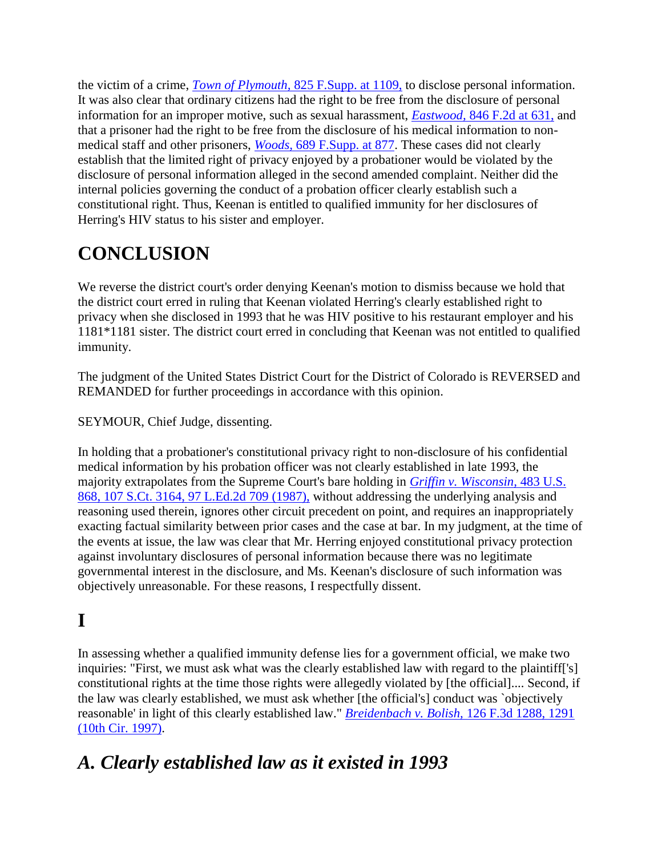the victim of a crime, *Town of Plymouth,* [825 F.Supp. at 1109,](http://scholar.google.co.in/scholar_case?case=3211675929379131424&q=herring+v.+keenan&hl=en&as_sdt=2,5&scilh=0) to disclose personal information. It was also clear that ordinary citizens had the right to be free from the disclosure of personal information for an improper motive, such as sexual harassment, *Eastwood,* [846 F.2d at 631,](http://scholar.google.co.in/scholar_case?case=17892454340012982754&q=herring+v.+keenan&hl=en&as_sdt=2,5&scilh=0) and that a prisoner had the right to be free from the disclosure of his medical information to nonmedical staff and other prisoners, *Woods,* [689 F.Supp. at 877.](http://scholar.google.co.in/scholar_case?case=8038232282848115101&q=herring+v.+keenan&hl=en&as_sdt=2,5&scilh=0) These cases did not clearly establish that the limited right of privacy enjoyed by a probationer would be violated by the disclosure of personal information alleged in the second amended complaint. Neither did the internal policies governing the conduct of a probation officer clearly establish such a constitutional right. Thus, Keenan is entitled to qualified immunity for her disclosures of Herring's HIV status to his sister and employer.

# **CONCLUSION**

We reverse the district court's order denying Keenan's motion to dismiss because we hold that the district court erred in ruling that Keenan violated Herring's clearly established right to privacy when she disclosed in 1993 that he was HIV positive to his restaurant employer and his 1181\*1181 sister. The district court erred in concluding that Keenan was not entitled to qualified immunity.

The judgment of the United States District Court for the District of Colorado is REVERSED and REMANDED for further proceedings in accordance with this opinion.

SEYMOUR, Chief Judge, dissenting.

In holding that a probationer's constitutional privacy right to non-disclosure of his confidential medical information by his probation officer was not clearly established in late 1993, the majority extrapolates from the Supreme Court's bare holding in *[Griffin v. Wisconsin,](http://scholar.google.co.in/scholar_case?case=5005625212347594167&q=herring+v.+keenan&hl=en&as_sdt=2,5&scilh=0)* 483 U.S. [868, 107 S.Ct. 3164, 97 L.Ed.2d 709 \(1987\),](http://scholar.google.co.in/scholar_case?case=5005625212347594167&q=herring+v.+keenan&hl=en&as_sdt=2,5&scilh=0) without addressing the underlying analysis and reasoning used therein, ignores other circuit precedent on point, and requires an inappropriately exacting factual similarity between prior cases and the case at bar. In my judgment, at the time of the events at issue, the law was clear that Mr. Herring enjoyed constitutional privacy protection against involuntary disclosures of personal information because there was no legitimate governmental interest in the disclosure, and Ms. Keenan's disclosure of such information was objectively unreasonable. For these reasons, I respectfully dissent.

# **I**

In assessing whether a qualified immunity defense lies for a government official, we make two inquiries: "First, we must ask what was the clearly established law with regard to the plaintiff['s] constitutional rights at the time those rights were allegedly violated by [the official].... Second, if the law was clearly established, we must ask whether [the official's] conduct was `objectively reasonable' in light of this clearly established law." *[Breidenbach v. Bolish,](http://scholar.google.co.in/scholar_case?case=12623045342982916422&q=herring+v.+keenan&hl=en&as_sdt=2,5&scilh=0)* 126 F.3d 1288, 1291 [\(10th Cir. 1997\).](http://scholar.google.co.in/scholar_case?case=12623045342982916422&q=herring+v.+keenan&hl=en&as_sdt=2,5&scilh=0)

# *A. Clearly established law as it existed in 1993*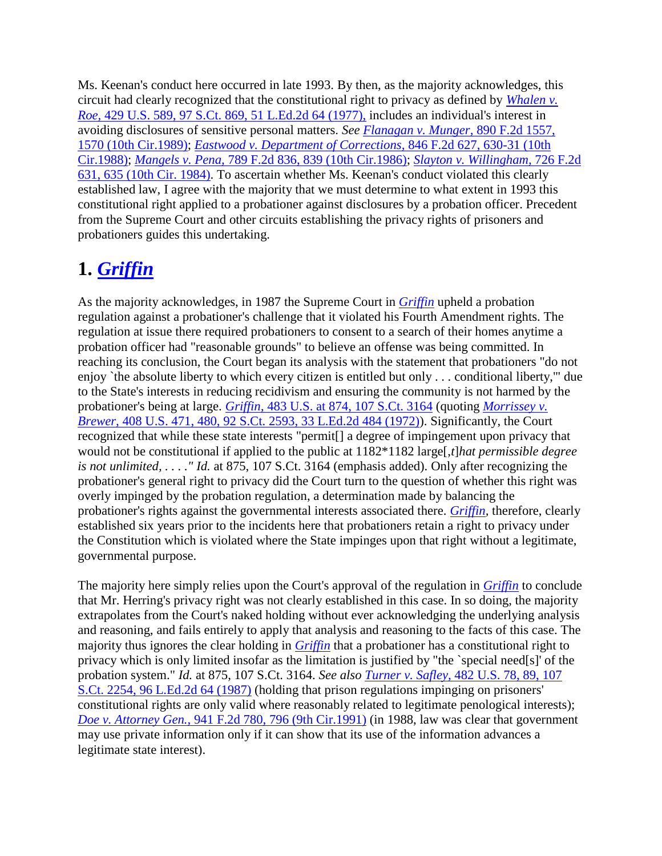Ms. Keenan's conduct here occurred in late 1993. By then, as the majority acknowledges, this circuit had clearly recognized that the constitutional right to privacy as defined by *[Whalen v.](http://scholar.google.co.in/scholar_case?case=8555735987895894452&q=herring+v.+keenan&hl=en&as_sdt=2,5&scilh=0)  Roe,* [429 U.S. 589, 97 S.Ct. 869, 51 L.Ed.2d 64 \(1977\),](http://scholar.google.co.in/scholar_case?case=8555735987895894452&q=herring+v.+keenan&hl=en&as_sdt=2,5&scilh=0) includes an individual's interest in avoiding disclosures of sensitive personal matters. *See [Flanagan v. Munger,](http://scholar.google.co.in/scholar_case?case=6811235589687530812&q=herring+v.+keenan&hl=en&as_sdt=2,5&scilh=0)* 890 F.2d 1557, [1570 \(10th Cir.1989\);](http://scholar.google.co.in/scholar_case?case=6811235589687530812&q=herring+v.+keenan&hl=en&as_sdt=2,5&scilh=0) *[Eastwood v. Department of Corrections,](http://scholar.google.co.in/scholar_case?case=17892454340012982754&q=herring+v.+keenan&hl=en&as_sdt=2,5&scilh=0)* 846 F.2d 627, 630-31 (10th [Cir.1988\);](http://scholar.google.co.in/scholar_case?case=17892454340012982754&q=herring+v.+keenan&hl=en&as_sdt=2,5&scilh=0) *Mangels v. Pena,* [789 F.2d 836, 839 \(10th Cir.1986\);](http://scholar.google.co.in/scholar_case?case=17411825162557729150&q=herring+v.+keenan&hl=en&as_sdt=2,5&scilh=0) *[Slayton v. Willingham,](http://scholar.google.co.in/scholar_case?case=9366262017111051408&q=herring+v.+keenan&hl=en&as_sdt=2,5&scilh=0)* 726 F.2d [631, 635 \(10th Cir. 1984\).](http://scholar.google.co.in/scholar_case?case=9366262017111051408&q=herring+v.+keenan&hl=en&as_sdt=2,5&scilh=0) To ascertain whether Ms. Keenan's conduct violated this clearly established law, I agree with the majority that we must determine to what extent in 1993 this constitutional right applied to a probationer against disclosures by a probation officer. Precedent from the Supreme Court and other circuits establishing the privacy rights of prisoners and probationers guides this undertaking.

## **1.** *[Griffin](http://scholar.google.co.in/scholar_case?case=5005625212347594167&q=herring+v.+keenan&hl=en&as_sdt=2,5&scilh=0)*

As the majority acknowledges, in 1987 the Supreme Court in *[Griffin](http://scholar.google.co.in/scholar_case?case=5005625212347594167&q=herring+v.+keenan&hl=en&as_sdt=2,5&scilh=0)* upheld a probation regulation against a probationer's challenge that it violated his Fourth Amendment rights. The regulation at issue there required probationers to consent to a search of their homes anytime a probation officer had "reasonable grounds" to believe an offense was being committed. In reaching its conclusion, the Court began its analysis with the statement that probationers "do not enjoy `the absolute liberty to which every citizen is entitled but only . . . conditional liberty,'" due to the State's interests in reducing recidivism and ensuring the community is not harmed by the probationer's being at large. *Griffin,* [483 U.S. at 874, 107 S.Ct. 3164](http://scholar.google.co.in/scholar_case?case=5005625212347594167&q=herring+v.+keenan&hl=en&as_sdt=2,5&scilh=0) (quoting *[Morrissey v.](http://scholar.google.co.in/scholar_case?case=6651080982371538818&q=herring+v.+keenan&hl=en&as_sdt=2,5&scilh=0)  Brewer,* [408 U.S. 471, 480, 92 S.Ct. 2593, 33 L.Ed.2d 484 \(1972\)\)](http://scholar.google.co.in/scholar_case?case=6651080982371538818&q=herring+v.+keenan&hl=en&as_sdt=2,5&scilh=0). Significantly, the Court recognized that while these state interests "permit[] a degree of impingement upon privacy that would not be constitutional if applied to the public at 1182\*1182 large[,*t*]*hat permissible degree is not unlimited, . . . ." Id.* at 875, 107 S.Ct. 3164 (emphasis added). Only after recognizing the probationer's general right to privacy did the Court turn to the question of whether this right was overly impinged by the probation regulation, a determination made by balancing the probationer's rights against the governmental interests associated there. *[Griffin,](http://scholar.google.co.in/scholar_case?case=5005625212347594167&q=herring+v.+keenan&hl=en&as_sdt=2,5&scilh=0)* therefore, clearly established six years prior to the incidents here that probationers retain a right to privacy under the Constitution which is violated where the State impinges upon that right without a legitimate, governmental purpose.

The majority here simply relies upon the Court's approval of the regulation in *[Griffin](http://scholar.google.co.in/scholar_case?case=5005625212347594167&q=herring+v.+keenan&hl=en&as_sdt=2,5&scilh=0)* to conclude that Mr. Herring's privacy right was not clearly established in this case. In so doing, the majority extrapolates from the Court's naked holding without ever acknowledging the underlying analysis and reasoning, and fails entirely to apply that analysis and reasoning to the facts of this case. The majority thus ignores the clear holding in *[Griffin](http://scholar.google.co.in/scholar_case?case=5005625212347594167&q=herring+v.+keenan&hl=en&as_sdt=2,5&scilh=0)* that a probationer has a constitutional right to privacy which is only limited insofar as the limitation is justified by "the `special need[s]' of the probation system." *Id.* at 875, 107 S.Ct. 3164. *See also Turner v. Safley,* [482 U.S. 78, 89, 107](http://scholar.google.co.in/scholar_case?case=15686747716085264205&q=herring+v.+keenan&hl=en&as_sdt=2,5&scilh=0)  [S.Ct. 2254, 96 L.Ed.2d 64 \(1987\)](http://scholar.google.co.in/scholar_case?case=15686747716085264205&q=herring+v.+keenan&hl=en&as_sdt=2,5&scilh=0) (holding that prison regulations impinging on prisoners' constitutional rights are only valid where reasonably related to legitimate penological interests); *Doe v. Attorney Gen.,* [941 F.2d 780, 796 \(9th Cir.1991\)](http://scholar.google.co.in/scholar_case?case=15198313161012254055&q=herring+v.+keenan&hl=en&as_sdt=2,5&scilh=0) (in 1988, law was clear that government may use private information only if it can show that its use of the information advances a legitimate state interest).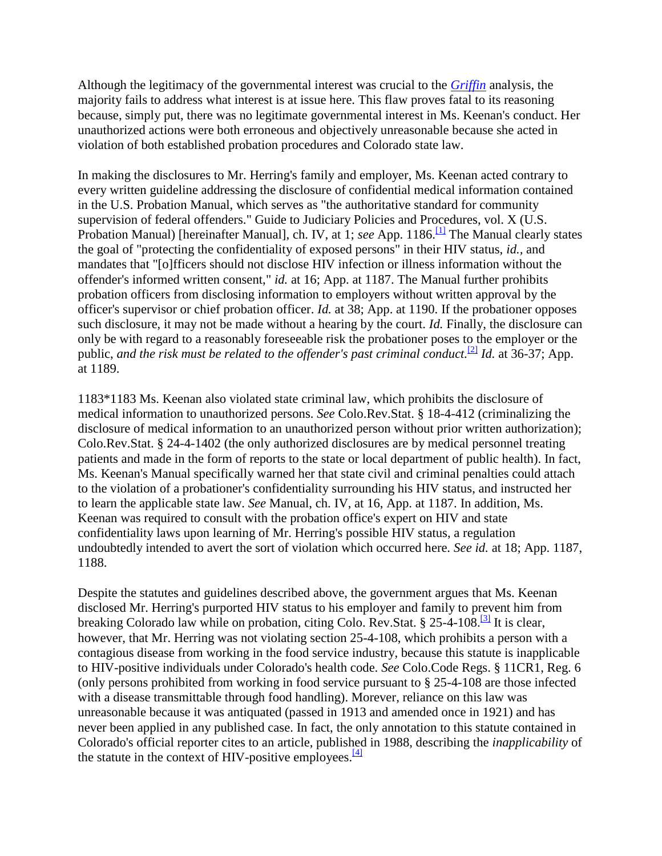Although the legitimacy of the governmental interest was crucial to the *[Griffin](http://scholar.google.co.in/scholar_case?case=5005625212347594167&q=herring+v.+keenan&hl=en&as_sdt=2,5&scilh=0)* analysis, the majority fails to address what interest is at issue here. This flaw proves fatal to its reasoning because, simply put, there was no legitimate governmental interest in Ms. Keenan's conduct. Her unauthorized actions were both erroneous and objectively unreasonable because she acted in violation of both established probation procedures and Colorado state law.

In making the disclosures to Mr. Herring's family and employer, Ms. Keenan acted contrary to every written guideline addressing the disclosure of confidential medical information contained in the U.S. Probation Manual, which serves as "the authoritative standard for community supervision of federal offenders." Guide to Judiciary Policies and Procedures, vol. X (U.S. Probation Manual) [hereinafter Manual], ch. IV, at 1; see App. 1186.<sup>[\[1\]](http://scholar.google.co.in/scholar_case?q=herring+v.+keenan&hl=en&as_sdt=2,5&case=3735631482981241601&scilh=0#[6])</sup> The Manual clearly states the goal of "protecting the confidentiality of exposed persons" in their HIV status, *id.,* and mandates that "[o]fficers should not disclose HIV infection or illness information without the offender's informed written consent," *id.* at 16; App. at 1187. The Manual further prohibits probation officers from disclosing information to employers without written approval by the officer's supervisor or chief probation officer. *Id.* at 38; App. at 1190. If the probationer opposes such disclosure, it may not be made without a hearing by the court. *Id.* Finally, the disclosure can only be with regard to a reasonably foreseeable risk the probationer poses to the employer or the public, *and the risk must be related to the offender's past criminal conduct.*<sup>[\[2\]](http://scholar.google.co.in/scholar_case?q=herring+v.+keenan&hl=en&as_sdt=2,5&case=3735631482981241601&scilh=0#[7])</sup> *Id.* at 36-37; App. at 1189.

1183\*1183 Ms. Keenan also violated state criminal law, which prohibits the disclosure of medical information to unauthorized persons. *See* Colo.Rev.Stat. § 18-4-412 (criminalizing the disclosure of medical information to an unauthorized person without prior written authorization); Colo.Rev.Stat. § 24-4-1402 (the only authorized disclosures are by medical personnel treating patients and made in the form of reports to the state or local department of public health). In fact, Ms. Keenan's Manual specifically warned her that state civil and criminal penalties could attach to the violation of a probationer's confidentiality surrounding his HIV status, and instructed her to learn the applicable state law. *See* Manual, ch. IV, at 16, App. at 1187. In addition, Ms. Keenan was required to consult with the probation office's expert on HIV and state confidentiality laws upon learning of Mr. Herring's possible HIV status, a regulation undoubtedly intended to avert the sort of violation which occurred here. *See id.* at 18; App. 1187, 1188.

Despite the statutes and guidelines described above, the government argues that Ms. Keenan disclosed Mr. Herring's purported HIV status to his employer and family to prevent him from breaking Colorado law while on probation, citing Colo. Rev. Stat. § 25-4-108.<sup>[\[3\]](http://scholar.google.co.in/scholar_case?q=herring+v.+keenan&hl=en&as_sdt=2,5&case=3735631482981241601&scilh=0#[8])</sup> It is clear, however, that Mr. Herring was not violating section 25-4-108, which prohibits a person with a contagious disease from working in the food service industry, because this statute is inapplicable to HIV-positive individuals under Colorado's health code. *See* Colo.Code Regs. § 11CR1, Reg. 6 (only persons prohibited from working in food service pursuant to § 25-4-108 are those infected with a disease transmittable through food handling). Morever, reliance on this law was unreasonable because it was antiquated (passed in 1913 and amended once in 1921) and has never been applied in any published case. In fact, the only annotation to this statute contained in Colorado's official reporter cites to an article, published in 1988, describing the *inapplicability* of the statute in the context of HIV-positive employees. $\frac{[4]}{[4]}$  $\frac{[4]}{[4]}$  $\frac{[4]}{[4]}$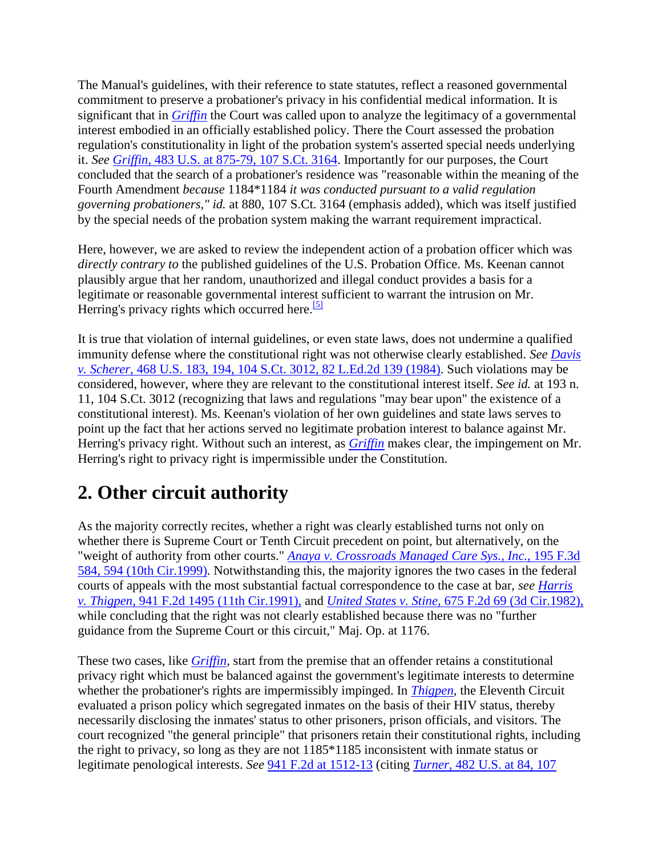The Manual's guidelines, with their reference to state statutes, reflect a reasoned governmental commitment to preserve a probationer's privacy in his confidential medical information. It is significant that in *[Griffin](http://scholar.google.co.in/scholar_case?case=5005625212347594167&q=herring+v.+keenan&hl=en&as_sdt=2,5&scilh=0)* the Court was called upon to analyze the legitimacy of a governmental interest embodied in an officially established policy. There the Court assessed the probation regulation's constitutionality in light of the probation system's asserted special needs underlying it. *See Griffin,* [483 U.S. at 875-79, 107 S.Ct. 3164.](http://scholar.google.co.in/scholar_case?case=5005625212347594167&q=herring+v.+keenan&hl=en&as_sdt=2,5&scilh=0) Importantly for our purposes, the Court concluded that the search of a probationer's residence was "reasonable within the meaning of the Fourth Amendment *because* 1184\*1184 *it was conducted pursuant to a valid regulation governing probationers," id.* at 880, 107 S.Ct. 3164 (emphasis added), which was itself justified by the special needs of the probation system making the warrant requirement impractical.

Here, however, we are asked to review the independent action of a probation officer which was *directly contrary to* the published guidelines of the U.S. Probation Office. Ms. Keenan cannot plausibly argue that her random, unauthorized and illegal conduct provides a basis for a legitimate or reasonable governmental interest sufficient to warrant the intrusion on Mr. Herring's privacy rights which occurred here.<sup>[\[5\]](http://scholar.google.co.in/scholar_case?q=herring+v.+keenan&hl=en&as_sdt=2,5&case=3735631482981241601&scilh=0#[10])</sup>

It is true that violation of internal guidelines, or even state laws, does not undermine a qualified immunity defense where the constitutional right was not otherwise clearly established. *See [Davis](http://scholar.google.co.in/scholar_case?case=10141076580089723087&q=herring+v.+keenan&hl=en&as_sdt=2,5&scilh=0)  v. Scherer,* [468 U.S. 183, 194, 104 S.Ct. 3012, 82 L.Ed.2d 139 \(1984\).](http://scholar.google.co.in/scholar_case?case=10141076580089723087&q=herring+v.+keenan&hl=en&as_sdt=2,5&scilh=0) Such violations may be considered, however, where they are relevant to the constitutional interest itself. *See id.* at 193 n. 11, 104 S.Ct. 3012 (recognizing that laws and regulations "may bear upon" the existence of a constitutional interest). Ms. Keenan's violation of her own guidelines and state laws serves to point up the fact that her actions served no legitimate probation interest to balance against Mr. Herring's privacy right. Without such an interest, as *[Griffin](http://scholar.google.co.in/scholar_case?case=5005625212347594167&q=herring+v.+keenan&hl=en&as_sdt=2,5&scilh=0)* makes clear, the impingement on Mr. Herring's right to privacy right is impermissible under the Constitution.

# **2. Other circuit authority**

As the majority correctly recites, whether a right was clearly established turns not only on whether there is Supreme Court or Tenth Circuit precedent on point, but alternatively, on the "weight of authority from other courts." *[Anaya v. Crossroads Managed Care Sys., Inc.,](http://scholar.google.co.in/scholar_case?case=1959916054295212807&q=herring+v.+keenan&hl=en&as_sdt=2,5&scilh=0)* 195 F.3d [584, 594 \(10th Cir.1999\).](http://scholar.google.co.in/scholar_case?case=1959916054295212807&q=herring+v.+keenan&hl=en&as_sdt=2,5&scilh=0) Notwithstanding this, the majority ignores the two cases in the federal courts of appeals with the most substantial factual correspondence to the case at bar, *see [Harris](http://scholar.google.co.in/scholar_case?case=6662398692491934365&q=herring+v.+keenan&hl=en&as_sdt=2,5&scilh=0)  v. Thigpen,* [941 F.2d 1495 \(11th Cir.1991\),](http://scholar.google.co.in/scholar_case?case=6662398692491934365&q=herring+v.+keenan&hl=en&as_sdt=2,5&scilh=0) and *United States v. Stine,* [675 F.2d 69 \(3d Cir.1982\),](http://scholar.google.co.in/scholar_case?case=14076162356851032631&q=herring+v.+keenan&hl=en&as_sdt=2,5&scilh=0) while concluding that the right was not clearly established because there was no "further guidance from the Supreme Court or this circuit," Maj. Op. at 1176.

These two cases, like *[Griffin,](http://scholar.google.co.in/scholar_case?case=5005625212347594167&q=herring+v.+keenan&hl=en&as_sdt=2,5&scilh=0)* start from the premise that an offender retains a constitutional privacy right which must be balanced against the government's legitimate interests to determine whether the probationer's rights are impermissibly impinged. In *[Thigpen,](http://scholar.google.co.in/scholar_case?case=6662398692491934365&q=herring+v.+keenan&hl=en&as_sdt=2,5&scilh=0)* the Eleventh Circuit evaluated a prison policy which segregated inmates on the basis of their HIV status, thereby necessarily disclosing the inmates' status to other prisoners, prison officials, and visitors. The court recognized "the general principle" that prisoners retain their constitutional rights, including the right to privacy, so long as they are not 1185\*1185 inconsistent with inmate status or legitimate penological interests. *See* [941 F.2d at 1512-13](http://scholar.google.co.in/scholar_case?case=6662398692491934365&q=herring+v.+keenan&hl=en&as_sdt=2,5&scilh=0) (citing *Turner,* [482 U.S. at 84, 107](http://scholar.google.co.in/scholar_case?case=15686747716085264205&q=herring+v.+keenan&hl=en&as_sdt=2,5&scilh=0)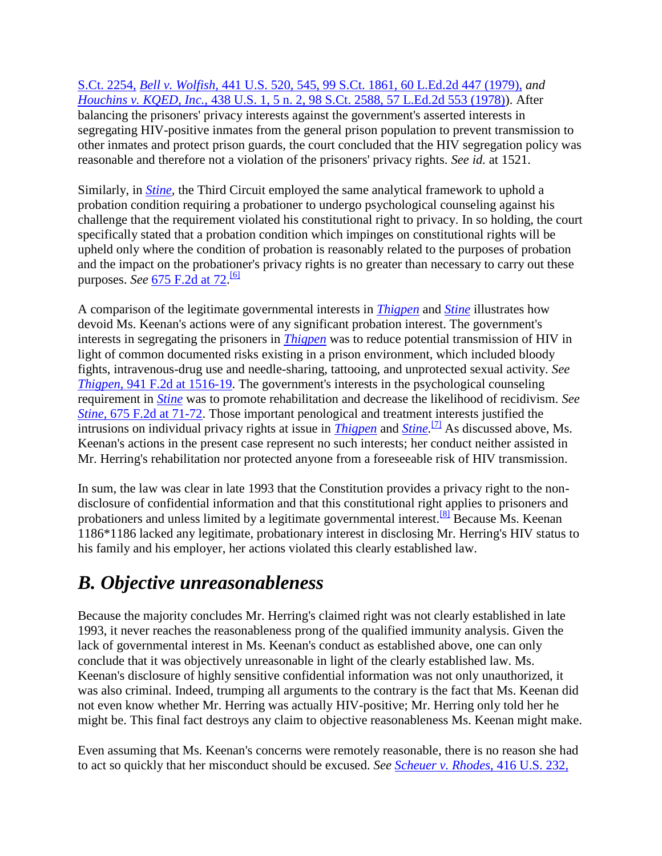S.Ct. 2254, *Bell v. Wolfish,* [441 U.S. 520, 545, 99 S.Ct. 1861, 60 L.Ed.2d 447 \(1979\),](http://scholar.google.co.in/scholar_case?case=4537162703993098019&q=herring+v.+keenan&hl=en&as_sdt=2,5&scilh=0) *and Houchins v. KQED, Inc.,* [438 U.S. 1, 5 n. 2, 98 S.Ct. 2588, 57 L.Ed.2d 553 \(1978\)\)](http://scholar.google.co.in/scholar_case?case=17191976500273269128&q=herring+v.+keenan&hl=en&as_sdt=2,5&scilh=0). After balancing the prisoners' privacy interests against the government's asserted interests in segregating HIV-positive inmates from the general prison population to prevent transmission to other inmates and protect prison guards, the court concluded that the HIV segregation policy was reasonable and therefore not a violation of the prisoners' privacy rights. *See id.* at 1521.

Similarly, in *[Stine,](http://scholar.google.co.in/scholar_case?case=14076162356851032631&q=herring+v.+keenan&hl=en&as_sdt=2,5&scilh=0)* the Third Circuit employed the same analytical framework to uphold a probation condition requiring a probationer to undergo psychological counseling against his challenge that the requirement violated his constitutional right to privacy. In so holding, the court specifically stated that a probation condition which impinges on constitutional rights will be upheld only where the condition of probation is reasonably related to the purposes of probation and the impact on the probationer's privacy rights is no greater than necessary to carry out these purposes. *See* [675 F.2d at 72.](http://scholar.google.co.in/scholar_case?case=14076162356851032631&q=herring+v.+keenan&hl=en&as_sdt=2,5&scilh=0) [\[6\]](http://scholar.google.co.in/scholar_case?q=herring+v.+keenan&hl=en&as_sdt=2,5&case=3735631482981241601&scilh=0#[11])

A comparison of the legitimate governmental interests in *[Thigpen](http://scholar.google.co.in/scholar_case?case=6662398692491934365&q=herring+v.+keenan&hl=en&as_sdt=2,5&scilh=0)* and *[Stine](http://scholar.google.co.in/scholar_case?case=14076162356851032631&q=herring+v.+keenan&hl=en&as_sdt=2,5&scilh=0)* illustrates how devoid Ms. Keenan's actions were of any significant probation interest. The government's interests in segregating the prisoners in *[Thigpen](http://scholar.google.co.in/scholar_case?case=6662398692491934365&q=herring+v.+keenan&hl=en&as_sdt=2,5&scilh=0)* was to reduce potential transmission of HIV in light of common documented risks existing in a prison environment, which included bloody fights, intravenous-drug use and needle-sharing, tattooing, and unprotected sexual activity. *See Thigpen,* [941 F.2d at 1516-19.](http://scholar.google.co.in/scholar_case?case=6662398692491934365&q=herring+v.+keenan&hl=en&as_sdt=2,5&scilh=0) The government's interests in the psychological counseling requirement in *[Stine](http://scholar.google.co.in/scholar_case?case=14076162356851032631&q=herring+v.+keenan&hl=en&as_sdt=2,5&scilh=0)* was to promote rehabilitation and decrease the likelihood of recidivism. *See Stine,* [675 F.2d at 71-72.](http://scholar.google.co.in/scholar_case?case=14076162356851032631&q=herring+v.+keenan&hl=en&as_sdt=2,5&scilh=0) Those important penological and treatment interests justified the intrusions on individual privacy rights at issue in *[Thigpen](http://scholar.google.co.in/scholar_case?case=6662398692491934365&q=herring+v.+keenan&hl=en&as_sdt=2,5&scilh=0)* and *[Stine.](http://scholar.google.co.in/scholar_case?case=14076162356851032631&q=herring+v.+keenan&hl=en&as_sdt=2,5&scilh=0)* [\[7\]](http://scholar.google.co.in/scholar_case?q=herring+v.+keenan&hl=en&as_sdt=2,5&case=3735631482981241601&scilh=0#[12]) As discussed above, Ms. Keenan's actions in the present case represent no such interests; her conduct neither assisted in Mr. Herring's rehabilitation nor protected anyone from a foreseeable risk of HIV transmission.

In sum, the law was clear in late 1993 that the Constitution provides a privacy right to the nondisclosure of confidential information and that this constitutional right applies to prisoners and probationers and unless limited by a legitimate governmental interest.<sup>[\[8\]](http://scholar.google.co.in/scholar_case?q=herring+v.+keenan&hl=en&as_sdt=2,5&case=3735631482981241601&scilh=0#[13])</sup> Because Ms. Keenan 1186\*1186 lacked any legitimate, probationary interest in disclosing Mr. Herring's HIV status to his family and his employer, her actions violated this clearly established law.

# *B. Objective unreasonableness*

Because the majority concludes Mr. Herring's claimed right was not clearly established in late 1993, it never reaches the reasonableness prong of the qualified immunity analysis. Given the lack of governmental interest in Ms. Keenan's conduct as established above, one can only conclude that it was objectively unreasonable in light of the clearly established law. Ms. Keenan's disclosure of highly sensitive confidential information was not only unauthorized, it was also criminal. Indeed, trumping all arguments to the contrary is the fact that Ms. Keenan did not even know whether Mr. Herring was actually HIV-positive; Mr. Herring only told her he might be. This final fact destroys any claim to objective reasonableness Ms. Keenan might make.

Even assuming that Ms. Keenan's concerns were remotely reasonable, there is no reason she had to act so quickly that her misconduct should be excused. *See [Scheuer v. Rhodes,](http://scholar.google.co.in/scholar_case?case=8710794191852857281&q=herring+v.+keenan&hl=en&as_sdt=2,5&scilh=0)* 416 U.S. 232,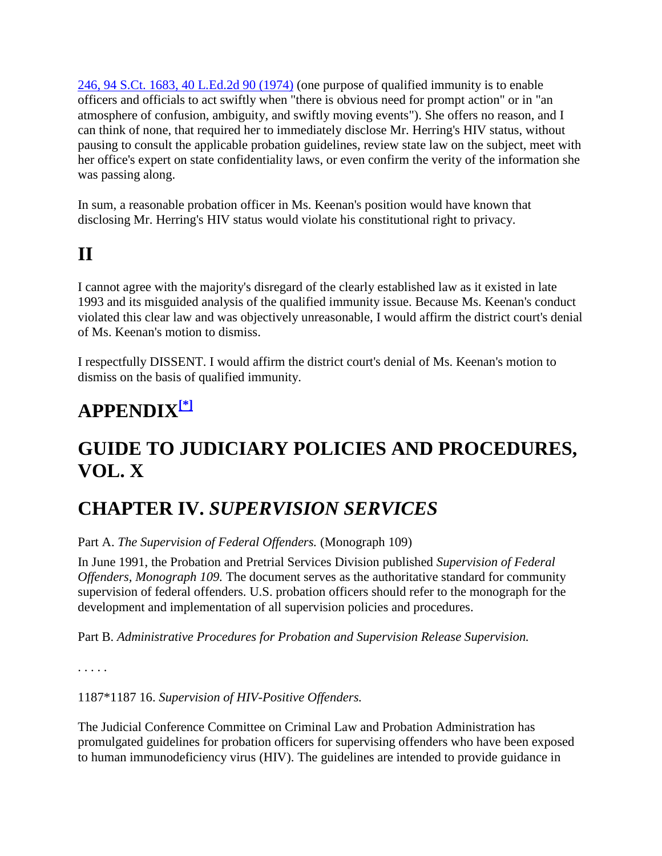246, 94 S.Ct. 1683, 40 L.Ed.2d 90 (1974) (one purpose of qualified immunity is to enable officers and officials to act swiftly when "there is obvious need for prompt action" or in "an atmosphere of confusion, ambiguity, and swiftly moving events"). She offers no reason, and I can think of none, that required her to immediately disclose Mr. Herring's HIV status, without pausing to consult the applicable probation guidelines, review state law on the subject, meet with her office's expert on state confidentiality laws, or even confirm the verity of the information she was passing along.

In sum, a reasonable probation officer in Ms. Keenan's position would have known that disclosing Mr. Herring's HIV status would violate his constitutional right to privacy.

# **II**

I cannot agree with the majority's disregard of the clearly established law as it existed in late 1993 and its misguided analysis of the qualified immunity issue. Because Ms. Keenan's conduct violated this clear law and was objectively unreasonable, I would affirm the district court's denial of Ms. Keenan's motion to dismiss.

I respectfully DISSENT. I would affirm the district court's denial of Ms. Keenan's motion to dismiss on the basis of qualified immunity.

## **APPENDIX[\[\\*\]](http://scholar.google.co.in/scholar_case?q=herring+v.+keenan&hl=en&as_sdt=2,5&case=3735631482981241601&scilh=0#[14])**

## **GUIDE TO JUDICIARY POLICIES AND PROCEDURES, VOL. X**

### **CHAPTER IV.** *SUPERVISION SERVICES*

Part A. *The Supervision of Federal Offenders.* (Monograph 109)

In June 1991, the Probation and Pretrial Services Division published *Supervision of Federal Offenders, Monograph 109.* The document serves as the authoritative standard for community supervision of federal offenders. U.S. probation officers should refer to the monograph for the development and implementation of all supervision policies and procedures.

Part B. *Administrative Procedures for Probation and Supervision Release Supervision.*

. . . . .

1187\*1187 16. *Supervision of HIV-Positive Offenders.*

The Judicial Conference Committee on Criminal Law and Probation Administration has promulgated guidelines for probation officers for supervising offenders who have been exposed to human immunodeficiency virus (HIV). The guidelines are intended to provide guidance in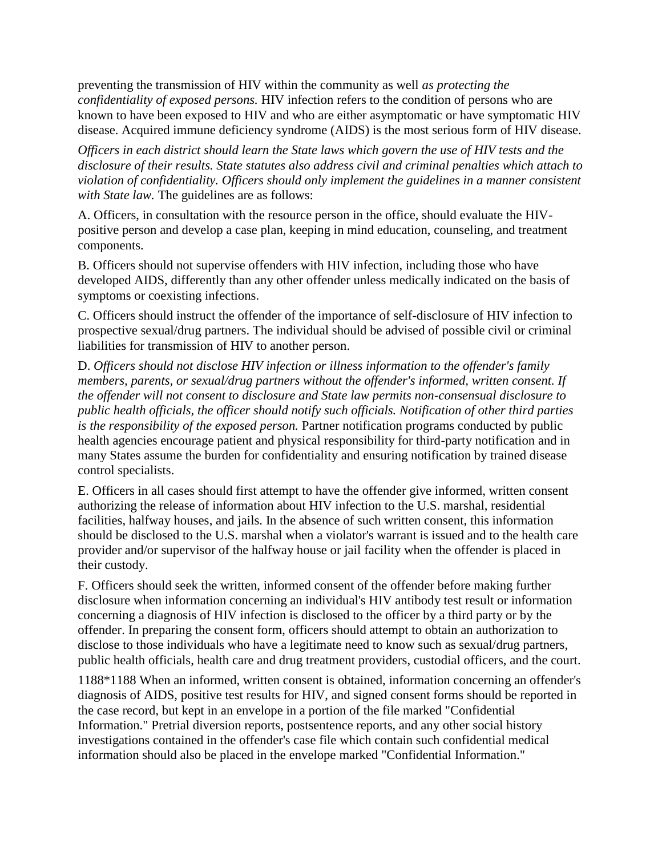preventing the transmission of HIV within the community as well *as protecting the confidentiality of exposed persons.* HIV infection refers to the condition of persons who are known to have been exposed to HIV and who are either asymptomatic or have symptomatic HIV disease. Acquired immune deficiency syndrome (AIDS) is the most serious form of HIV disease.

*Officers in each district should learn the State laws which govern the use of HIV tests and the disclosure of their results. State statutes also address civil and criminal penalties which attach to violation of confidentiality. Officers should only implement the guidelines in a manner consistent with State law.* The guidelines are as follows:

A. Officers, in consultation with the resource person in the office, should evaluate the HIVpositive person and develop a case plan, keeping in mind education, counseling, and treatment components.

B. Officers should not supervise offenders with HIV infection, including those who have developed AIDS, differently than any other offender unless medically indicated on the basis of symptoms or coexisting infections.

C. Officers should instruct the offender of the importance of self-disclosure of HIV infection to prospective sexual/drug partners. The individual should be advised of possible civil or criminal liabilities for transmission of HIV to another person.

D. *Officers should not disclose HIV infection or illness information to the offender's family members, parents, or sexual/drug partners without the offender's informed, written consent. If the offender will not consent to disclosure and State law permits non-consensual disclosure to public health officials, the officer should notify such officials. Notification of other third parties is the responsibility of the exposed person.* Partner notification programs conducted by public health agencies encourage patient and physical responsibility for third-party notification and in many States assume the burden for confidentiality and ensuring notification by trained disease control specialists.

E. Officers in all cases should first attempt to have the offender give informed, written consent authorizing the release of information about HIV infection to the U.S. marshal, residential facilities, halfway houses, and jails. In the absence of such written consent, this information should be disclosed to the U.S. marshal when a violator's warrant is issued and to the health care provider and/or supervisor of the halfway house or jail facility when the offender is placed in their custody.

F. Officers should seek the written, informed consent of the offender before making further disclosure when information concerning an individual's HIV antibody test result or information concerning a diagnosis of HIV infection is disclosed to the officer by a third party or by the offender. In preparing the consent form, officers should attempt to obtain an authorization to disclose to those individuals who have a legitimate need to know such as sexual/drug partners, public health officials, health care and drug treatment providers, custodial officers, and the court.

1188\*1188 When an informed, written consent is obtained, information concerning an offender's diagnosis of AIDS, positive test results for HIV, and signed consent forms should be reported in the case record, but kept in an envelope in a portion of the file marked "Confidential Information." Pretrial diversion reports, postsentence reports, and any other social history investigations contained in the offender's case file which contain such confidential medical information should also be placed in the envelope marked "Confidential Information."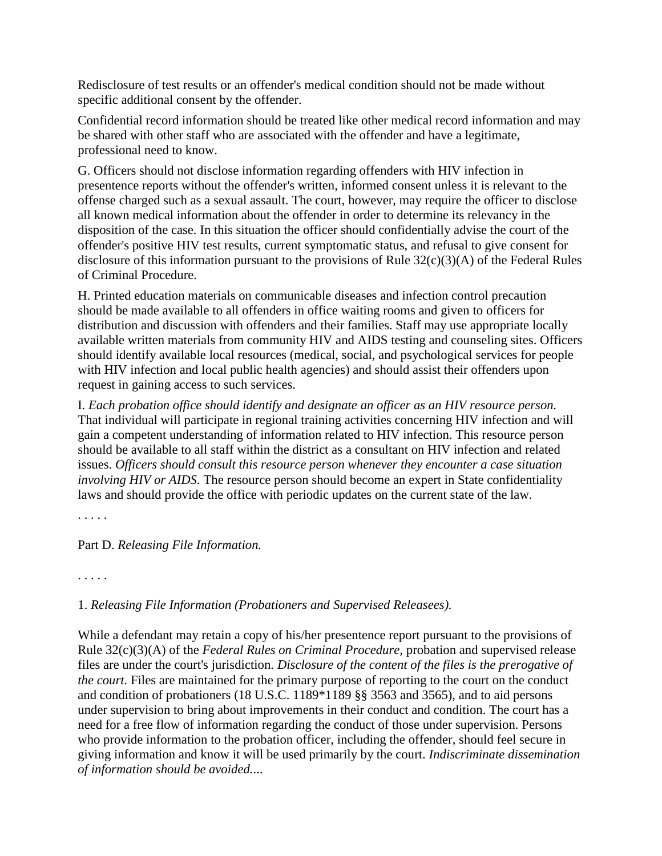Redisclosure of test results or an offender's medical condition should not be made without specific additional consent by the offender.

Confidential record information should be treated like other medical record information and may be shared with other staff who are associated with the offender and have a legitimate, professional need to know.

G. Officers should not disclose information regarding offenders with HIV infection in presentence reports without the offender's written, informed consent unless it is relevant to the offense charged such as a sexual assault. The court, however, may require the officer to disclose all known medical information about the offender in order to determine its relevancy in the disposition of the case. In this situation the officer should confidentially advise the court of the offender's positive HIV test results, current symptomatic status, and refusal to give consent for disclosure of this information pursuant to the provisions of Rule 32(c)(3)(A) of the Federal Rules of Criminal Procedure.

H. Printed education materials on communicable diseases and infection control precaution should be made available to all offenders in office waiting rooms and given to officers for distribution and discussion with offenders and their families. Staff may use appropriate locally available written materials from community HIV and AIDS testing and counseling sites. Officers should identify available local resources (medical, social, and psychological services for people with HIV infection and local public health agencies) and should assist their offenders upon request in gaining access to such services.

I. *Each probation office should identify and designate an officer as an HIV resource person.* That individual will participate in regional training activities concerning HIV infection and will gain a competent understanding of information related to HIV infection. This resource person should be available to all staff within the district as a consultant on HIV infection and related issues. *Officers should consult this resource person whenever they encounter a case situation involving HIV or AIDS*. The resource person should become an expert in State confidentiality laws and should provide the office with periodic updates on the current state of the law.

. . . . .

#### Part D. *Releasing File Information.*

. . . . .

#### 1. *Releasing File Information (Probationers and Supervised Releasees).*

While a defendant may retain a copy of his/her presentence report pursuant to the provisions of Rule 32(c)(3)(A) of the *Federal Rules on Criminal Procedure,* probation and supervised release files are under the court's jurisdiction. *Disclosure of the content of the files is the prerogative of the court.* Files are maintained for the primary purpose of reporting to the court on the conduct and condition of probationers (18 U.S.C. 1189\*1189 §§ 3563 and 3565), and to aid persons under supervision to bring about improvements in their conduct and condition. The court has a need for a free flow of information regarding the conduct of those under supervision. Persons who provide information to the probation officer, including the offender, should feel secure in giving information and know it will be used primarily by the court. *Indiscriminate dissemination of information should be avoided.*...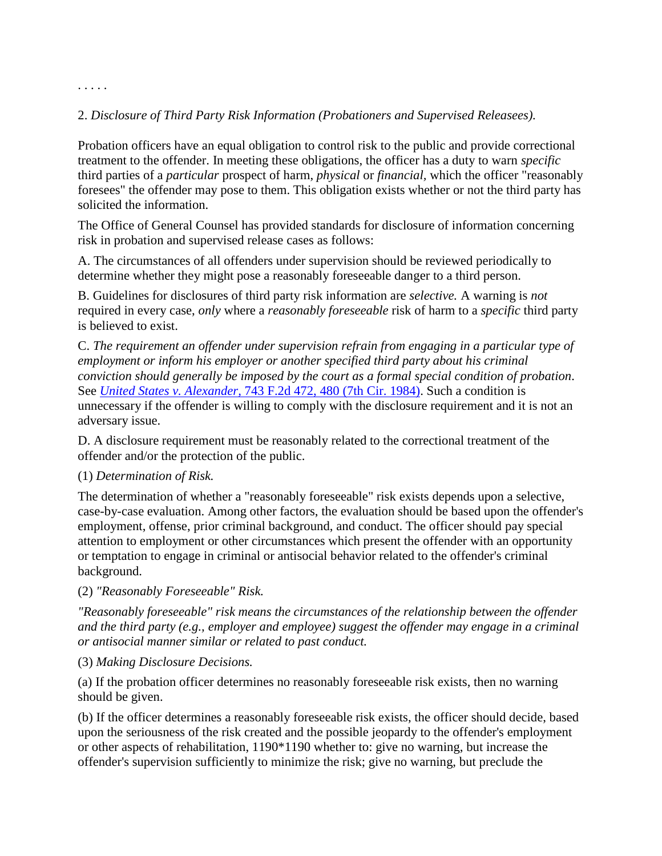### 2. *Disclosure of Third Party Risk Information (Probationers and Supervised Releasees).*

Probation officers have an equal obligation to control risk to the public and provide correctional treatment to the offender. In meeting these obligations, the officer has a duty to warn *specific* third parties of a *particular* prospect of harm, *physical* or *financial,* which the officer "reasonably foresees" the offender may pose to them. This obligation exists whether or not the third party has solicited the information.

The Office of General Counsel has provided standards for disclosure of information concerning risk in probation and supervised release cases as follows:

A. The circumstances of all offenders under supervision should be reviewed periodically to determine whether they might pose a reasonably foreseeable danger to a third person.

B. Guidelines for disclosures of third party risk information are *selective.* A warning is *not* required in every case, *only* where a *reasonably foreseeable* risk of harm to a *specific* third party is believed to exist.

C. *The requirement an offender under supervision refrain from engaging in a particular type of employment or inform his employer or another specified third party about his criminal conviction should generally be imposed by the court as a formal special condition of probation.* See *United States v. Alexander,* [743 F.2d 472, 480 \(7th Cir. 1984\).](http://scholar.google.co.in/scholar_case?case=13099633763060120337&q=herring+v.+keenan&hl=en&as_sdt=2,5&scilh=0) Such a condition is unnecessary if the offender is willing to comply with the disclosure requirement and it is not an adversary issue.

D. A disclosure requirement must be reasonably related to the correctional treatment of the offender and/or the protection of the public.

#### (1) *Determination of Risk.*

. . . . .

The determination of whether a "reasonably foreseeable" risk exists depends upon a selective, case-by-case evaluation. Among other factors, the evaluation should be based upon the offender's employment, offense, prior criminal background, and conduct. The officer should pay special attention to employment or other circumstances which present the offender with an opportunity or temptation to engage in criminal or antisocial behavior related to the offender's criminal background.

#### (2) *"Reasonably Foreseeable" Risk.*

*"Reasonably foreseeable" risk means the circumstances of the relationship between the offender and the third party (e.g., employer and employee) suggest the offender may engage in a criminal or antisocial manner similar or related to past conduct.*

#### (3) *Making Disclosure Decisions.*

(a) If the probation officer determines no reasonably foreseeable risk exists, then no warning should be given.

(b) If the officer determines a reasonably foreseeable risk exists, the officer should decide, based upon the seriousness of the risk created and the possible jeopardy to the offender's employment or other aspects of rehabilitation, 1190\*1190 whether to: give no warning, but increase the offender's supervision sufficiently to minimize the risk; give no warning, but preclude the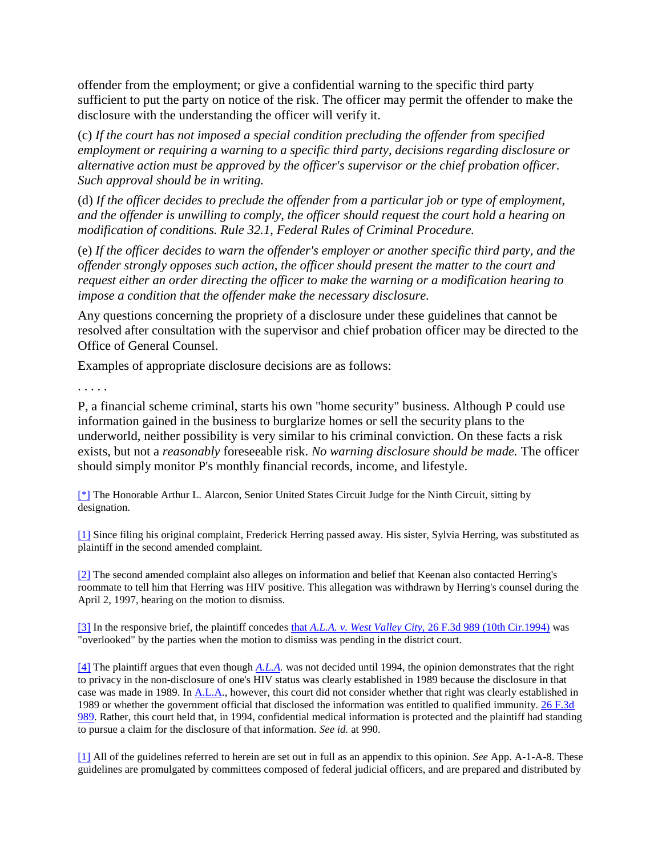offender from the employment; or give a confidential warning to the specific third party sufficient to put the party on notice of the risk. The officer may permit the offender to make the disclosure with the understanding the officer will verify it.

(c) *If the court has not imposed a special condition precluding the offender from specified employment or requiring a warning to a specific third party, decisions regarding disclosure or alternative action must be approved by the officer's supervisor or the chief probation officer. Such approval should be in writing.*

(d) *If the officer decides to preclude the offender from a particular job or type of employment, and the offender is unwilling to comply, the officer should request the court hold a hearing on modification of conditions. Rule 32.1, Federal Rules of Criminal Procedure.*

(e) *If the officer decides to warn the offender's employer or another specific third party, and the offender strongly opposes such action, the officer should present the matter to the court and request either an order directing the officer to make the warning or a modification hearing to impose a condition that the offender make the necessary disclosure.*

Any questions concerning the propriety of a disclosure under these guidelines that cannot be resolved after consultation with the supervisor and chief probation officer may be directed to the Office of General Counsel.

Examples of appropriate disclosure decisions are as follows:

. . . . .

P, a financial scheme criminal, starts his own "home security" business. Although P could use information gained in the business to burglarize homes or sell the security plans to the underworld, neither possibility is very similar to his criminal conviction. On these facts a risk exists, but not a *reasonably* foreseeable risk. *No warning disclosure should be made.* The officer should simply monitor P's monthly financial records, income, and lifestyle.

[\[\\*\]](http://scholar.google.co.in/scholar_case?q=herring+v.+keenan&hl=en&as_sdt=2,5&case=3735631482981241601&scilh=0#r[1]) The Honorable Arthur L. Alarcon, Senior United States Circuit Judge for the Ninth Circuit, sitting by designation.

[\[1\]](http://scholar.google.co.in/scholar_case?q=herring+v.+keenan&hl=en&as_sdt=2,5&case=3735631482981241601&scilh=0#r[2]) Since filing his original complaint, Frederick Herring passed away. His sister, Sylvia Herring, was substituted as plaintiff in the second amended complaint.

[\[2\]](http://scholar.google.co.in/scholar_case?q=herring+v.+keenan&hl=en&as_sdt=2,5&case=3735631482981241601&scilh=0#r[3]) The second amended complaint also alleges on information and belief that Keenan also contacted Herring's roommate to tell him that Herring was HIV positive. This allegation was withdrawn by Herring's counsel during the April 2, 1997, hearing on the motion to dismiss.

[\[3\]](http://scholar.google.co.in/scholar_case?q=herring+v.+keenan&hl=en&as_sdt=2,5&case=3735631482981241601&scilh=0#r[4]) In the responsive brief, the plaintiff concedes that *A.L.A. v. West Valley City,* [26 F.3d 989 \(10th Cir.1994\)](http://scholar.google.co.in/scholar_case?case=3274201201416321623&q=herring+v.+keenan&hl=en&as_sdt=2,5&scilh=0) was "overlooked" by the parties when the motion to dismiss was pending in the district court.

[\[4\]](http://scholar.google.co.in/scholar_case?q=herring+v.+keenan&hl=en&as_sdt=2,5&case=3735631482981241601&scilh=0#r[5]) The plaintiff argues that even though *[A.L.A.](http://scholar.google.co.in/scholar_case?case=3274201201416321623&q=herring+v.+keenan&hl=en&as_sdt=2,5&scilh=0)* was not decided until 1994, the opinion demonstrates that the right to privacy in the non-disclosure of one's HIV status was clearly established in 1989 because the disclosure in that case was made in 1989. In [A.L.A.,](http://scholar.google.co.in/scholar_case?case=3274201201416321623&q=herring+v.+keenan&hl=en&as_sdt=2,5&scilh=0) however, this court did not consider whether that right was clearly established in 1989 or whether the government official that disclosed the information was entitled to qualified immunity. [26 F.3d](http://scholar.google.co.in/scholar_case?case=3274201201416321623&q=herring+v.+keenan&hl=en&as_sdt=2,5&scilh=0)  [989.](http://scholar.google.co.in/scholar_case?case=3274201201416321623&q=herring+v.+keenan&hl=en&as_sdt=2,5&scilh=0) Rather, this court held that, in 1994, confidential medical information is protected and the plaintiff had standing to pursue a claim for the disclosure of that information. *See id.* at 990.

[\[1\]](http://scholar.google.co.in/scholar_case?q=herring+v.+keenan&hl=en&as_sdt=2,5&case=3735631482981241601&scilh=0#r[6]) All of the guidelines referred to herein are set out in full as an appendix to this opinion. *See* App. A-1-A-8. These guidelines are promulgated by committees composed of federal judicial officers, and are prepared and distributed by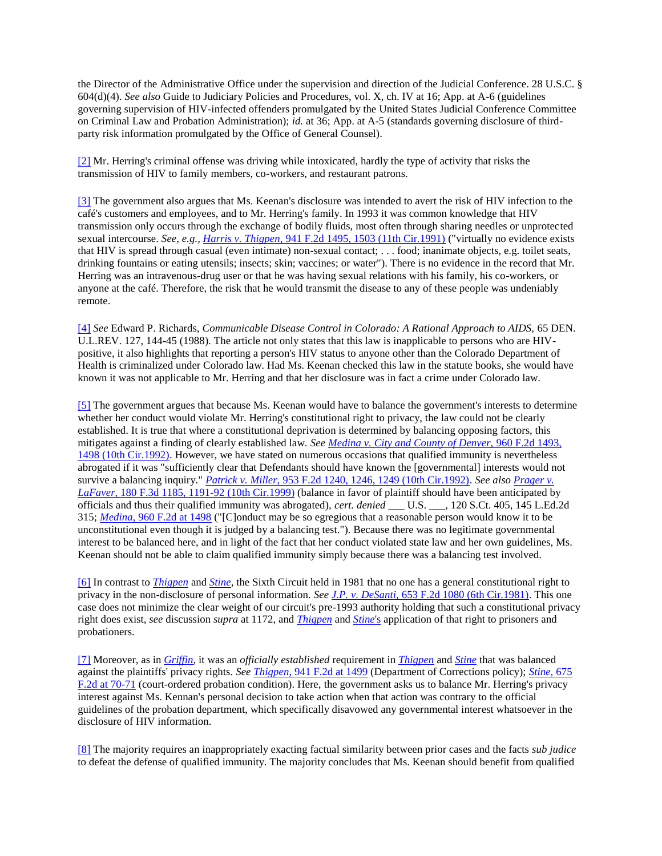the Director of the Administrative Office under the supervision and direction of the Judicial Conference. 28 U.S.C. § 604(d)(4). *See also* Guide to Judiciary Policies and Procedures, vol. X, ch. IV at 16; App. at A-6 (guidelines governing supervision of HIV-infected offenders promulgated by the United States Judicial Conference Committee on Criminal Law and Probation Administration); *id.* at 36; App. at A-5 (standards governing disclosure of thirdparty risk information promulgated by the Office of General Counsel).

[\[2\]](http://scholar.google.co.in/scholar_case?q=herring+v.+keenan&hl=en&as_sdt=2,5&case=3735631482981241601&scilh=0#r[7]) Mr. Herring's criminal offense was driving while intoxicated, hardly the type of activity that risks the transmission of HIV to family members, co-workers, and restaurant patrons.

[\[3\]](http://scholar.google.co.in/scholar_case?q=herring+v.+keenan&hl=en&as_sdt=2,5&case=3735631482981241601&scilh=0#r[8]) The government also argues that Ms. Keenan's disclosure was intended to avert the risk of HIV infection to the café's customers and employees, and to Mr. Herring's family. In 1993 it was common knowledge that HIV transmission only occurs through the exchange of bodily fluids, most often through sharing needles or unprotected sexual intercourse. *See, e.g., Harris v. Thigpen,* [941 F.2d 1495, 1503 \(11th Cir.1991\)](http://scholar.google.co.in/scholar_case?case=6662398692491934365&q=herring+v.+keenan&hl=en&as_sdt=2,5&scilh=0) ("virtually no evidence exists that HIV is spread through casual (even intimate) non-sexual contact; . . . food; inanimate objects, e.g. toilet seats, drinking fountains or eating utensils; insects; skin; vaccines; or water"). There is no evidence in the record that Mr. Herring was an intravenous-drug user or that he was having sexual relations with his family, his co-workers, or anyone at the café. Therefore, the risk that he would transmit the disease to any of these people was undeniably remote.

[\[4\]](http://scholar.google.co.in/scholar_case?q=herring+v.+keenan&hl=en&as_sdt=2,5&case=3735631482981241601&scilh=0#r[9]) *See* Edward P. Richards, *Communicable Disease Control in Colorado: A Rational Approach to AIDS,* 65 DEN. U.L.REV. 127, 144-45 (1988). The article not only states that this law is inapplicable to persons who are HIVpositive, it also highlights that reporting a person's HIV status to anyone other than the Colorado Department of Health is criminalized under Colorado law. Had Ms. Keenan checked this law in the statute books, she would have known it was not applicable to Mr. Herring and that her disclosure was in fact a crime under Colorado law.

[\[5\]](http://scholar.google.co.in/scholar_case?q=herring+v.+keenan&hl=en&as_sdt=2,5&case=3735631482981241601&scilh=0#r[10]) The government argues that because Ms. Keenan would have to balance the government's interests to determine whether her conduct would violate Mr. Herring's constitutional right to privacy, the law could not be clearly established. It is true that where a constitutional deprivation is determined by balancing opposing factors, this mitigates against a finding of clearly established law. *Se[e Medina v. City and County of Denver,](http://scholar.google.co.in/scholar_case?case=5798578460676759824&q=herring+v.+keenan&hl=en&as_sdt=2,5&scilh=0)* 960 F.2d 1493, [1498 \(10th Cir.1992\).](http://scholar.google.co.in/scholar_case?case=5798578460676759824&q=herring+v.+keenan&hl=en&as_sdt=2,5&scilh=0) However, we have stated on numerous occasions that qualified immunity is nevertheless abrogated if it was "sufficiently clear that Defendants should have known the [governmental] interests would not survive a balancing inquiry." *Patrick v. Miller,* [953 F.2d 1240, 1246, 1249 \(10th Cir.1992\).](http://scholar.google.co.in/scholar_case?case=298593375883707152&q=herring+v.+keenan&hl=en&as_sdt=2,5&scilh=0) *See also [Prager v.](http://scholar.google.co.in/scholar_case?case=2947583422676597446&q=herring+v.+keenan&hl=en&as_sdt=2,5&scilh=0)  LaFaver,* [180 F.3d 1185, 1191-92 \(10th Cir.1999\)](http://scholar.google.co.in/scholar_case?case=2947583422676597446&q=herring+v.+keenan&hl=en&as_sdt=2,5&scilh=0) (balance in favor of plaintiff should have been anticipated by officials and thus their qualified immunity was abrogated), *cert. denied* \_\_\_ U.S. \_\_\_, 120 S.Ct. 405, 145 L.Ed.2d 315; *Medina,* [960 F.2d at 1498](http://scholar.google.co.in/scholar_case?case=5798578460676759824&q=herring+v.+keenan&hl=en&as_sdt=2,5&scilh=0) ("[C]onduct may be so egregious that a reasonable person would know it to be unconstitutional even though it is judged by a balancing test."). Because there was no legitimate governmental interest to be balanced here, and in light of the fact that her conduct violated state law and her own guidelines, Ms. Keenan should not be able to claim qualified immunity simply because there was a balancing test involved.

[\[6\]](http://scholar.google.co.in/scholar_case?q=herring+v.+keenan&hl=en&as_sdt=2,5&case=3735631482981241601&scilh=0#r[11]) In contrast to *[Thigpen](http://scholar.google.co.in/scholar_case?case=6662398692491934365&q=herring+v.+keenan&hl=en&as_sdt=2,5&scilh=0)* and *[Stine,](http://scholar.google.co.in/scholar_case?case=14076162356851032631&q=herring+v.+keenan&hl=en&as_sdt=2,5&scilh=0)* the Sixth Circuit held in 1981 that no one has a general constitutional right to privacy in the non-disclosure of personal information. *See J.P. v. DeSanti,* [653 F.2d 1080 \(6th Cir.1981\).](http://scholar.google.co.in/scholar_case?case=3471958858796033822&q=herring+v.+keenan&hl=en&as_sdt=2,5&scilh=0) This one case does not minimize the clear weight of our circuit's pre-1993 authority holding that such a constitutional privacy right does exist, *see* discussion *supra* at 1172, and *[Thigpen](http://scholar.google.co.in/scholar_case?case=6662398692491934365&q=herring+v.+keenan&hl=en&as_sdt=2,5&scilh=0)* and *[Stine](http://scholar.google.co.in/scholar_case?case=14076162356851032631&q=herring+v.+keenan&hl=en&as_sdt=2,5&scilh=0)*'s application of that right to prisoners and probationers.

[\[7\]](http://scholar.google.co.in/scholar_case?q=herring+v.+keenan&hl=en&as_sdt=2,5&case=3735631482981241601&scilh=0#r[12]) Moreover, as in *[Griffin,](http://scholar.google.co.in/scholar_case?case=5005625212347594167&q=herring+v.+keenan&hl=en&as_sdt=2,5&scilh=0)* it was an *officially established* requirement in *[Thigpen](http://scholar.google.co.in/scholar_case?case=6662398692491934365&q=herring+v.+keenan&hl=en&as_sdt=2,5&scilh=0)* and *[Stine](http://scholar.google.co.in/scholar_case?case=14076162356851032631&q=herring+v.+keenan&hl=en&as_sdt=2,5&scilh=0)* that was balanced against the plaintiffs' privacy rights. *See Thigpen,* [941 F.2d at 1499](http://scholar.google.co.in/scholar_case?case=6662398692491934365&q=herring+v.+keenan&hl=en&as_sdt=2,5&scilh=0) (Department of Corrections policy); *[Stine,](http://scholar.google.co.in/scholar_case?case=14076162356851032631&q=herring+v.+keenan&hl=en&as_sdt=2,5&scilh=0)* 675 [F.2d at 70-71](http://scholar.google.co.in/scholar_case?case=14076162356851032631&q=herring+v.+keenan&hl=en&as_sdt=2,5&scilh=0) (court-ordered probation condition). Here, the government asks us to balance Mr. Herring's privacy interest against Ms. Kennan's personal decision to take action when that action was contrary to the official guidelines of the probation department, which specifically disavowed any governmental interest whatsoever in the disclosure of HIV information.

[\[8\]](http://scholar.google.co.in/scholar_case?q=herring+v.+keenan&hl=en&as_sdt=2,5&case=3735631482981241601&scilh=0#r[13]) The majority requires an inappropriately exacting factual similarity between prior cases and the facts *sub judice* to defeat the defense of qualified immunity. The majority concludes that Ms. Keenan should benefit from qualified